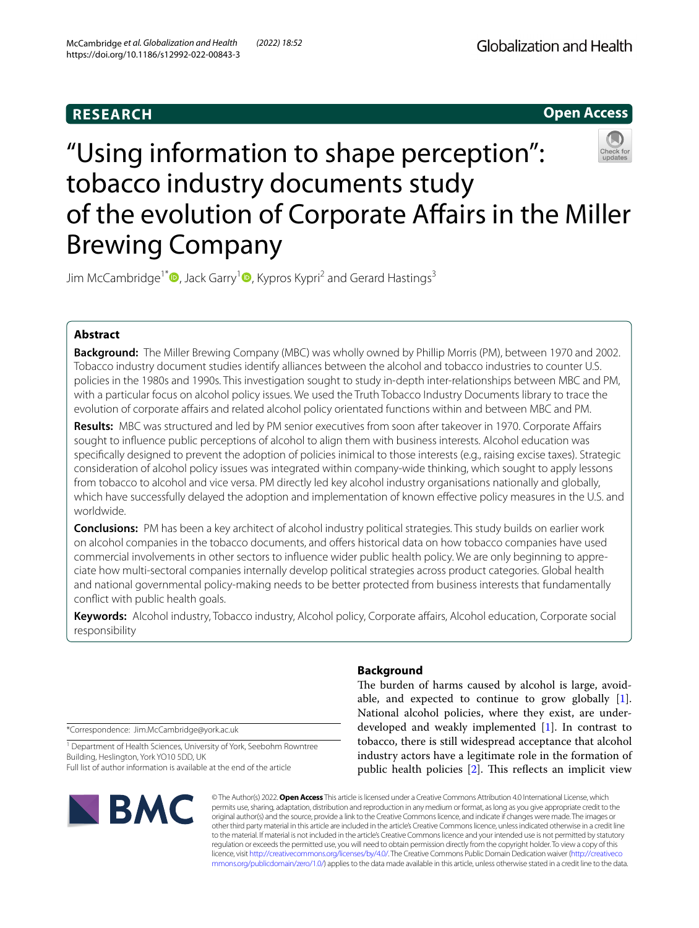# **RESEARCH**

# **Open Access**

# "Using information to shape perception": tobacco industry documents study of the evolution of Corporate Affairs in the Miller Brewing Company

Jim McCambridge<sup>1[\\*](http://orcid.org/0000-0002-5461-7001)</sup><sup>O</sup>, Jack Garry<sup>[1](https://orcid.org/0000-0001-8938-6859)</sup><sup>O</sup>, Kypros Kypri<sup>2</sup> and Gerard Hastings<sup>3</sup>

# **Abstract**

**Background:** The Miller Brewing Company (MBC) was wholly owned by Phillip Morris (PM), between 1970 and 2002. Tobacco industry document studies identify alliances between the alcohol and tobacco industries to counter U.S. policies in the 1980s and 1990s. This investigation sought to study in-depth inter-relationships between MBC and PM, with a particular focus on alcohol policy issues. We used the Truth Tobacco Industry Documents library to trace the evolution of corporate afairs and related alcohol policy orientated functions within and between MBC and PM.

**Results:** MBC was structured and led by PM senior executives from soon after takeover in 1970. Corporate Afairs sought to infuence public perceptions of alcohol to align them with business interests. Alcohol education was specifcally designed to prevent the adoption of policies inimical to those interests (e.g., raising excise taxes). Strategic consideration of alcohol policy issues was integrated within company-wide thinking, which sought to apply lessons from tobacco to alcohol and vice versa. PM directly led key alcohol industry organisations nationally and globally, which have successfully delayed the adoption and implementation of known effective policy measures in the U.S. and worldwide.

**Conclusions:** PM has been a key architect of alcohol industry political strategies. This study builds on earlier work on alcohol companies in the tobacco documents, and ofers historical data on how tobacco companies have used commercial involvements in other sectors to infuence wider public health policy. We are only beginning to appreciate how multi-sectoral companies internally develop political strategies across product categories. Global health and national governmental policy-making needs to be better protected from business interests that fundamentally confict with public health goals.

**Keywords:** Alcohol industry, Tobacco industry, Alcohol policy, Corporate afairs, Alcohol education, Corporate social responsibility

\*Correspondence: Jim.McCambridge@york.ac.uk

<sup>1</sup> Department of Health Sciences, University of York, Seebohm Rowntree Building, Heslington, York YO10 5DD, UK Full list of author information is available at the end of the article



## **Background**

The burden of harms caused by alcohol is large, avoidable, and expected to continue to grow globally [\[1](#page-10-0)]. National alcohol policies, where they exist, are underdeveloped and weakly implemented [[1](#page-10-0)]. In contrast to tobacco, there is still widespread acceptance that alcohol industry actors have a legitimate role in the formation of public health policies  $[2]$  $[2]$ . This reflects an implicit view

© The Author(s) 2022. **Open Access** This article is licensed under a Creative Commons Attribution 4.0 International License, which permits use, sharing, adaptation, distribution and reproduction in any medium or format, as long as you give appropriate credit to the original author(s) and the source, provide a link to the Creative Commons licence, and indicate if changes were made. The images or other third party material in this article are included in the article's Creative Commons licence, unless indicated otherwise in a credit line to the material. If material is not included in the article's Creative Commons licence and your intended use is not permitted by statutory regulation or exceeds the permitted use, you will need to obtain permission directly from the copyright holder. To view a copy of this licence, visit [http://creativecommons.org/licenses/by/4.0/.](http://creativecommons.org/licenses/by/4.0/) The Creative Commons Public Domain Dedication waiver ([http://creativeco](http://creativecommons.org/publicdomain/zero/1.0/) [mmons.org/publicdomain/zero/1.0/](http://creativecommons.org/publicdomain/zero/1.0/)) applies to the data made available in this article, unless otherwise stated in a credit line to the data.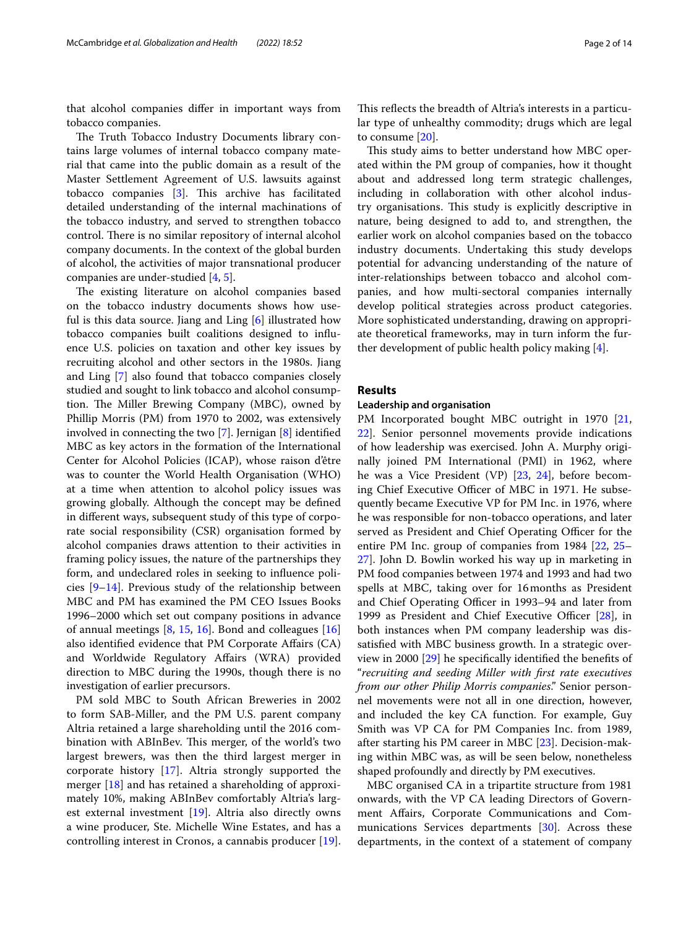that alcohol companies difer in important ways from tobacco companies.

The Truth Tobacco Industry Documents library contains large volumes of internal tobacco company material that came into the public domain as a result of the Master Settlement Agreement of U.S. lawsuits against tobacco companies  $[3]$ . This archive has facilitated detailed understanding of the internal machinations of the tobacco industry, and served to strengthen tobacco control. There is no similar repository of internal alcohol company documents. In the context of the global burden of alcohol, the activities of major transnational producer companies are under-studied [\[4,](#page-10-3) [5](#page-10-4)].

The existing literature on alcohol companies based on the tobacco industry documents shows how useful is this data source. Jiang and Ling [\[6](#page-10-5)] illustrated how tobacco companies built coalitions designed to infuence U.S. policies on taxation and other key issues by recruiting alcohol and other sectors in the 1980s. Jiang and Ling [[7\]](#page-10-6) also found that tobacco companies closely studied and sought to link tobacco and alcohol consumption. The Miller Brewing Company (MBC), owned by Phillip Morris (PM) from 1970 to 2002, was extensively involved in connecting the two [[7\]](#page-10-6). Jernigan [\[8](#page-10-7)] identifed MBC as key actors in the formation of the International Center for Alcohol Policies (ICAP), whose raison d'être was to counter the World Health Organisation (WHO) at a time when attention to alcohol policy issues was growing globally. Although the concept may be defned in diferent ways, subsequent study of this type of corporate social responsibility (CSR) organisation formed by alcohol companies draws attention to their activities in framing policy issues, the nature of the partnerships they form, and undeclared roles in seeking to infuence policies  $[9-14]$  $[9-14]$ . Previous study of the relationship between MBC and PM has examined the PM CEO Issues Books 1996–2000 which set out company positions in advance of annual meetings  $[8, 15, 16]$  $[8, 15, 16]$  $[8, 15, 16]$  $[8, 15, 16]$  $[8, 15, 16]$  $[8, 15, 16]$ . Bond and colleagues  $[16]$ also identifed evidence that PM Corporate Afairs (CA) and Worldwide Regulatory Afairs (WRA) provided direction to MBC during the 1990s, though there is no investigation of earlier precursors.

PM sold MBC to South African Breweries in 2002 to form SAB-Miller, and the PM U.S. parent company Altria retained a large shareholding until the 2016 combination with ABInBev. This merger, of the world's two largest brewers, was then the third largest merger in corporate history [\[17](#page-10-12)]. Altria strongly supported the merger [\[18](#page-10-13)] and has retained a shareholding of approximately 10%, making ABInBev comfortably Altria's largest external investment [\[19](#page-10-14)]. Altria also directly owns a wine producer, Ste. Michelle Wine Estates, and has a controlling interest in Cronos, a cannabis producer [\[19](#page-10-14)].

This reflects the breadth of Altria's interests in a particular type of unhealthy commodity; drugs which are legal to consume [\[20](#page-11-0)].

This study aims to better understand how MBC operated within the PM group of companies, how it thought about and addressed long term strategic challenges, including in collaboration with other alcohol industry organisations. This study is explicitly descriptive in nature, being designed to add to, and strengthen, the earlier work on alcohol companies based on the tobacco industry documents. Undertaking this study develops potential for advancing understanding of the nature of inter-relationships between tobacco and alcohol companies, and how multi-sectoral companies internally develop political strategies across product categories. More sophisticated understanding, drawing on appropriate theoretical frameworks, may in turn inform the further development of public health policy making [\[4](#page-10-3)].

#### **Results**

#### **Leadership and organisation**

PM Incorporated bought MBC outright in 1970 [[21](#page-11-1), [22\]](#page-11-2). Senior personnel movements provide indications of how leadership was exercised. John A. Murphy originally joined PM International (PMI) in 1962, where he was a Vice President (VP) [\[23](#page-11-3), [24\]](#page-11-4), before becoming Chief Executive Officer of MBC in 1971. He subsequently became Executive VP for PM Inc. in 1976, where he was responsible for non-tobacco operations, and later served as President and Chief Operating Officer for the entire PM Inc. group of companies from 1984 [\[22,](#page-11-2) [25–](#page-11-5) [27\]](#page-11-6). John D. Bowlin worked his way up in marketing in PM food companies between 1974 and 1993 and had two spells at MBC, taking over for 16months as President and Chief Operating Officer in 1993–94 and later from 1999 as President and Chief Executive Officer  $[28]$  $[28]$ , in both instances when PM company leadership was dissatisfed with MBC business growth. In a strategic overview in 2000 [[29](#page-11-8)] he specifcally identifed the benefts of "*recruiting and seeding Miller with frst rate executives from our other Philip Morris companies*." Senior personnel movements were not all in one direction, however, and included the key CA function. For example, Guy Smith was VP CA for PM Companies Inc. from 1989, after starting his PM career in MBC [[23\]](#page-11-3). Decision-making within MBC was, as will be seen below, nonetheless shaped profoundly and directly by PM executives.

MBC organised CA in a tripartite structure from 1981 onwards, with the VP CA leading Directors of Government Afairs, Corporate Communications and Com-munications Services departments [\[30\]](#page-11-9). Across these departments, in the context of a statement of company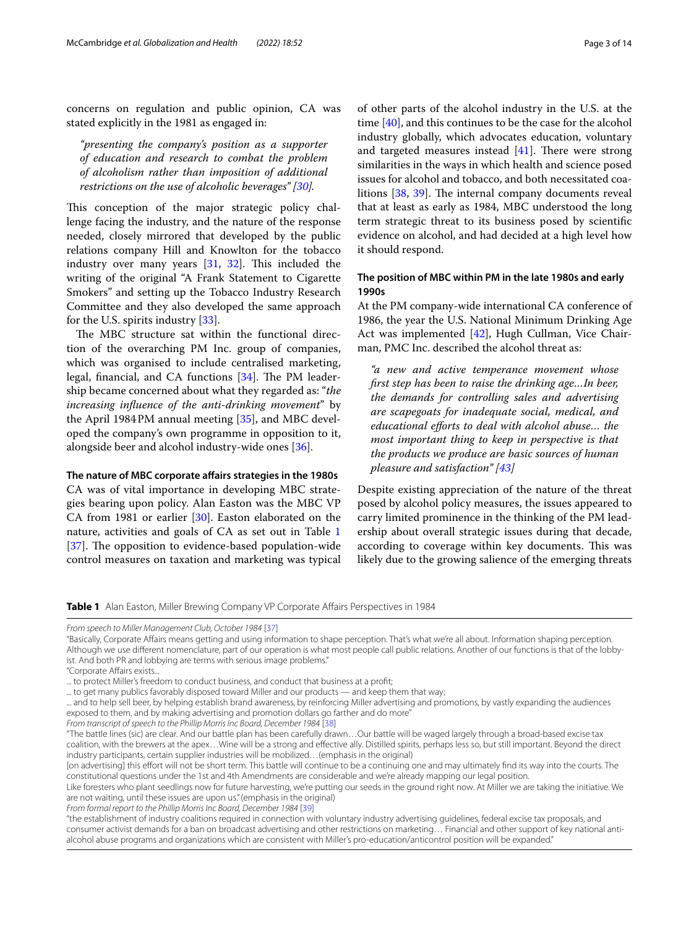concerns on regulation and public opinion, CA was stated explicitly in the 1981 as engaged in:

*"presenting the company's position as a supporter of education and research to combat the problem of alcoholism rather than imposition of additional restrictions on the use of alcoholic beverages" [[30\]](#page-11-9).*

This conception of the major strategic policy challenge facing the industry, and the nature of the response needed, closely mirrored that developed by the public relations company Hill and Knowlton for the tobacco industry over many years  $[31, 32]$  $[31, 32]$  $[31, 32]$ . This included the writing of the original "A Frank Statement to Cigarette Smokers" and setting up the Tobacco Industry Research Committee and they also developed the same approach for the U.S. spirits industry [\[33](#page-11-12)].

The MBC structure sat within the functional direction of the overarching PM Inc. group of companies, which was organised to include centralised marketing, legal, financial, and CA functions  $[34]$  $[34]$ . The PM leadership became concerned about what they regarded as: "*the increasing infuence of the anti-drinking movement*" by the April 1984PM annual meeting [[35](#page-11-14)], and MBC developed the company's own programme in opposition to it, alongside beer and alcohol industry-wide ones [[36](#page-11-15)].

#### **The nature of MBC corporate afairs strategies in the 1980s**

CA was of vital importance in developing MBC strategies bearing upon policy. Alan Easton was the MBC VP CA from 1981 or earlier [\[30](#page-11-9)]. Easton elaborated on the nature, activities and goals of CA as set out in Table [1](#page-2-0) [[37\]](#page-11-16). The opposition to evidence-based population-wide control measures on taxation and marketing was typical

of other parts of the alcohol industry in the U.S. at the time [[40](#page-11-17)], and this continues to be the case for the alcohol industry globally, which advocates education, voluntary and targeted measures instead  $[41]$  $[41]$  $[41]$ . There were strong similarities in the ways in which health and science posed issues for alcohol and tobacco, and both necessitated coa-litions [[38,](#page-11-19) [39\]](#page-11-20). The internal company documents reveal that at least as early as 1984, MBC understood the long term strategic threat to its business posed by scientifc evidence on alcohol, and had decided at a high level how it should respond.

#### **The position of MBC within PM in the late 1980s and early 1990s**

At the PM company-wide international CA conference of 1986, the year the U.S. National Minimum Drinking Age Act was implemented [[42](#page-11-21)], Hugh Cullman, Vice Chairman, PMC Inc. described the alcohol threat as:

*"a new and active temperance movement whose frst step has been to raise the drinking age…In beer, the demands for controlling sales and advertising are scapegoats for inadequate social, medical, and educational eforts to deal with alcohol abuse… the most important thing to keep in perspective is that the products we produce are basic sources of human pleasure and satisfaction" [[43](#page-11-22)]*

Despite existing appreciation of the nature of the threat posed by alcohol policy measures, the issues appeared to carry limited prominence in the thinking of the PM leadership about overall strategic issues during that decade, according to coverage within key documents. This was likely due to the growing salience of the emerging threats

<span id="page-2-0"></span>**Table 1** Alan Easton, Miller Brewing Company VP Corporate Affairs Perspectives in 1984

[on advertising] this effort will not be short term. This battle will continue to be a continuing one and may ultimately find its way into the courts. The constitutional questions under the 1st and 4th Amendments are considerable and we're already mapping our legal position.

Like foresters who plant seedlings now for future harvesting, we're putting our seeds in the ground right now. At Miller we are taking the initiative. We are not waiting, until these issues are upon us." (emphasis in the original)

*From formal report to the Phillip Morris Inc Board, December 1984* [[39\]](#page-11-20)

"the establishment of industry coalitions required in connection with voluntary industry advertising guidelines, federal excise tax proposals, and consumer activist demands for a ban on broadcast advertising and other restrictions on marketing… Financial and other support of key national antialcohol abuse programs and organizations which are consistent with Miller's pro-education/anticontrol position will be expanded."

*From speech to Miller Management Club, October 1984* [\[37\]](#page-11-16)

<sup>&</sup>quot;Basically, Corporate Afairs means getting and using information to shape perception. That's what we're all about. Information shaping perception. Although we use diferent nomenclature, part of our operation is what most people call public relations. Another of our functions is that of the lobbyist. And both PR and lobbying are terms with serious image problems."

<sup>&</sup>quot;Corporate Afairs exists...

<sup>...</sup> to protect Miller's freedom to conduct business, and conduct that business at a proft;

<sup>...</sup> to get many publics favorably disposed toward Miller and our products — and keep them that way;

<sup>...</sup> and to help sell beer, by helping establish brand awareness, by reinforcing Miller advertising and promotions, by vastly expanding the audiences exposed to them, and by making advertising and promotion dollars go farther and do more"

*From transcript of speech to the Phillip Morris Inc Board, December 1984* [[38](#page-11-19)]

<sup>&</sup>quot;The battle lines (sic) are clear. And our battle plan has been carefully drawn…Our battle will be waged largely through a broad-based excise tax coalition, with the brewers at the apex…Wine will be a strong and efective ally. Distilled spirits, perhaps less so, but still important. Beyond the direct industry participants, certain supplier industries will be mobilized…(emphasis in the original)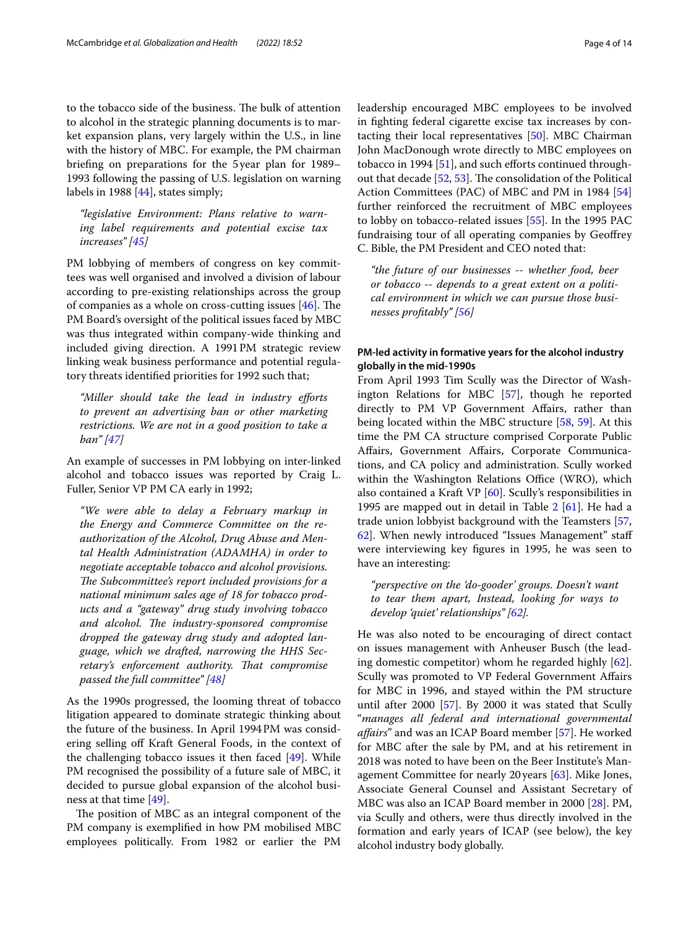to the tobacco side of the business. The bulk of attention to alcohol in the strategic planning documents is to market expansion plans, very largely within the U.S., in line with the history of MBC. For example, the PM chairman briefng on preparations for the 5 year plan for 1989– 1993 following the passing of U.S. legislation on warning labels in 1988 [[44](#page-11-23)], states simply;

*"legislative Environment: Plans relative to warning label requirements and potential excise tax increases" [\[45](#page-11-24)]*

PM lobbying of members of congress on key committees was well organised and involved a division of labour according to pre-existing relationships across the group of companies as a whole on cross-cutting issues  $[46]$  $[46]$ . The PM Board's oversight of the political issues faced by MBC was thus integrated within company-wide thinking and included giving direction. A 1991PM strategic review linking weak business performance and potential regulatory threats identifed priorities for 1992 such that;

*"Miller should take the lead in industry eforts to prevent an advertising ban or other marketing restrictions. We are not in a good position to take a ban" [\[47](#page-11-26)]*

An example of successes in PM lobbying on inter-linked alcohol and tobacco issues was reported by Craig L. Fuller, Senior VP PM CA early in 1992;

*"We were able to delay a February markup in the Energy and Commerce Committee on the reauthorization of the Alcohol, Drug Abuse and Mental Health Administration (ADAMHA) in order to negotiate acceptable tobacco and alcohol provisions.*  The Subcommittee's report included provisions for a *national minimum sales age of 18 for tobacco products and a "gateway" drug study involving tobacco and alcohol. The industry-sponsored compromise dropped the gateway drug study and adopted language, which we drafted, narrowing the HHS Sec*retary's enforcement authority. That compromise *passed the full committee" [[48\]](#page-11-27)*

As the 1990s progressed, the looming threat of tobacco litigation appeared to dominate strategic thinking about the future of the business. In April 1994PM was considering selling of Kraft General Foods, in the context of the challenging tobacco issues it then faced [[49\]](#page-11-28). While PM recognised the possibility of a future sale of MBC, it decided to pursue global expansion of the alcohol business at that time [\[49\]](#page-11-28).

The position of MBC as an integral component of the PM company is exemplifed in how PM mobilised MBC employees politically. From 1982 or earlier the PM leadership encouraged MBC employees to be involved in fghting federal cigarette excise tax increases by contacting their local representatives [\[50](#page-11-29)]. MBC Chairman John MacDonough wrote directly to MBC employees on tobacco in 1994  $[51]$ , and such efforts continued throughout that decade  $[52, 53]$  $[52, 53]$  $[52, 53]$ . The consolidation of the Political Action Committees (PAC) of MBC and PM in 1984 [[54](#page-11-33)] further reinforced the recruitment of MBC employees to lobby on tobacco-related issues [[55](#page-11-34)]. In the 1995 PAC fundraising tour of all operating companies by Geofrey C. Bible, the PM President and CEO noted that:

*"the future of our businesses -- whether food, beer or tobacco -- depends to a great extent on a political environment in which we can pursue those businesses proftably" [[56\]](#page-12-0)*

### **PM‑led activity in formative years for the alcohol industry globally in the mid‑1990s**

From April 1993 Tim Scully was the Director of Washington Relations for MBC [\[57](#page-12-1)], though he reported directly to PM VP Government Afairs, rather than being located within the MBC structure [\[58,](#page-12-2) [59](#page-12-3)]. At this time the PM CA structure comprised Corporate Public Afairs, Government Afairs, Corporate Communications, and CA policy and administration. Scully worked within the Washington Relations Office (WRO), which also contained a Kraft VP [[60\]](#page-12-4). Scully's responsibilities in 1995 are mapped out in detail in Table [2](#page-4-0) [\[61\]](#page-12-5). He had a trade union lobbyist background with the Teamsters [[57](#page-12-1), [62\]](#page-12-6). When newly introduced "Issues Management" staf were interviewing key fgures in 1995, he was seen to have an interesting:

*"perspective on the 'do-gooder' groups. Doesn't want to tear them apart, Instead, looking for ways to develop 'quiet' relationships" [[62\]](#page-12-6).*

He was also noted to be encouraging of direct contact on issues management with Anheuser Busch (the leading domestic competitor) whom he regarded highly [\[62](#page-12-6)]. Scully was promoted to VP Federal Government Afairs for MBC in 1996, and stayed within the PM structure until after 2000 [[57\]](#page-12-1). By 2000 it was stated that Scully "*manages all federal and international governmental afairs*" and was an ICAP Board member [\[57](#page-12-1)]. He worked for MBC after the sale by PM, and at his retirement in 2018 was noted to have been on the Beer Institute's Management Committee for nearly 20 years [\[63](#page-12-7)]. Mike Jones, Associate General Counsel and Assistant Secretary of MBC was also an ICAP Board member in 2000 [[28\]](#page-11-7). PM, via Scully and others, were thus directly involved in the formation and early years of ICAP (see below), the key alcohol industry body globally.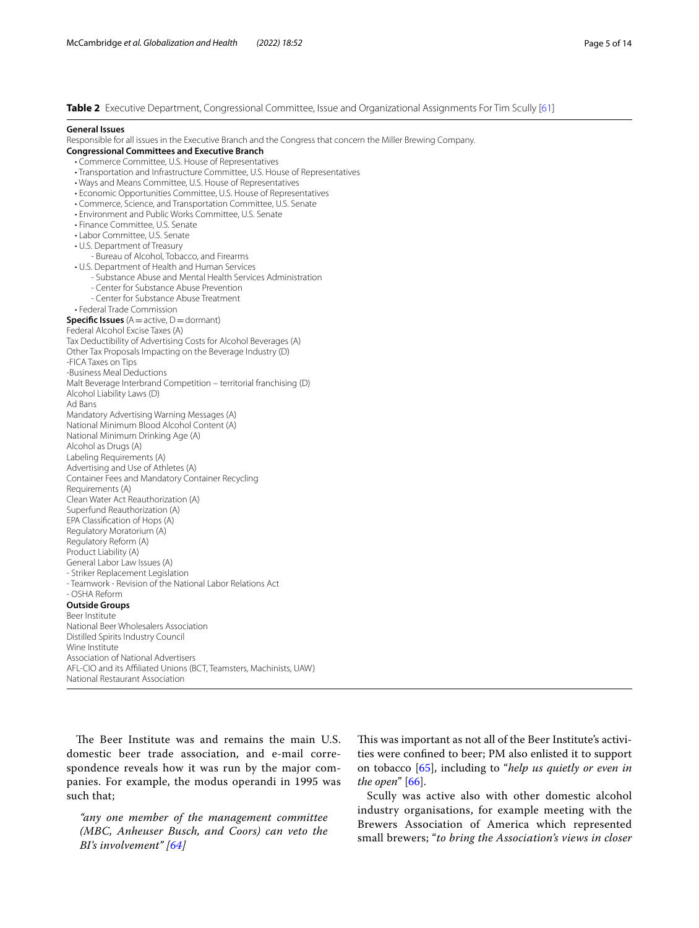<span id="page-4-0"></span>**Table 2** Executive Department, Congressional Committee, Issue and Organizational Assignments For Tim Scully [[61](#page-12-5)]

#### **General Issues**

Responsible for all issues in the Executive Branch and the Congress that concern the Miller Brewing Company.

**Congressional Committees and Executive Branch** • Commerce Committee, U.S. House of Representatives

- Transportation and Infrastructure Committee, U.S. House of Representatives
- Ways and Means Committee, U.S. House of Representatives
- Economic Opportunities Committee, U.S. House of Representatives
- Commerce, Science, and Transportation Committee, U.S. Senate
- Environment and Public Works Committee, U.S. Senate
- Finance Committee, U.S. Senate
- Labor Committee, U.S. Senate
- U.S. Department of Treasury

- Bureau of Alcohol, Tobacco, and Firearms

- U.S. Department of Health and Human Services
	- Substance Abuse and Mental Health Services Administration
	- Center for Substance Abuse Prevention
	- Center for Substance Abuse Treatment
- Federal Trade Commission

National Restaurant Association

**Specific Issues** (A = active, D = dormant) Federal Alcohol Excise Taxes (A) Tax Deductibility of Advertising Costs for Alcohol Beverages (A) Other Tax Proposals Impacting on the Beverage Industry (D) -FICA Taxes on Tips -Business Meal Deductions Malt Beverage Interbrand Competition – territorial franchising (D) Alcohol Liability Laws (D) Ad Bans Mandatory Advertising Warning Messages (A) National Minimum Blood Alcohol Content (A) National Minimum Drinking Age (A) Alcohol as Drugs (A) Labeling Requirements (A) Advertising and Use of Athletes (A) Container Fees and Mandatory Container Recycling Requirements (A) Clean Water Act Reauthorization (A) Superfund Reauthorization (A) EPA Classifcation of Hops (A) Regulatory Moratorium (A) Regulatory Reform (A) Product Liability (A) General Labor Law Issues (A) - Striker Replacement Legislation - Teamwork - Revision of the National Labor Relations Act - OSHA Reform **Outside Groups** Beer Institute National Beer Wholesalers Association Distilled Spirits Industry Council Wine Institute Association of National Advertisers AFL-CIO and its Afliated Unions (BCT, Teamsters, Machinists, UAW)

The Beer Institute was and remains the main U.S. domestic beer trade association, and e-mail correspondence reveals how it was run by the major companies. For example, the modus operandi in 1995 was such that;

*"any one member of the management committee (MBC, Anheuser Busch, and Coors) can veto the BI's involvement" [[64](#page-12-8)]*

This was important as not all of the Beer Institute's activities were confned to beer; PM also enlisted it to support on tobacco [\[65](#page-12-9)], including to "*help us quietly or even in the open*" [\[66\]](#page-12-10).

Scully was active also with other domestic alcohol industry organisations, for example meeting with the Brewers Association of America which represented small brewers; "*to bring the Association's views in closer*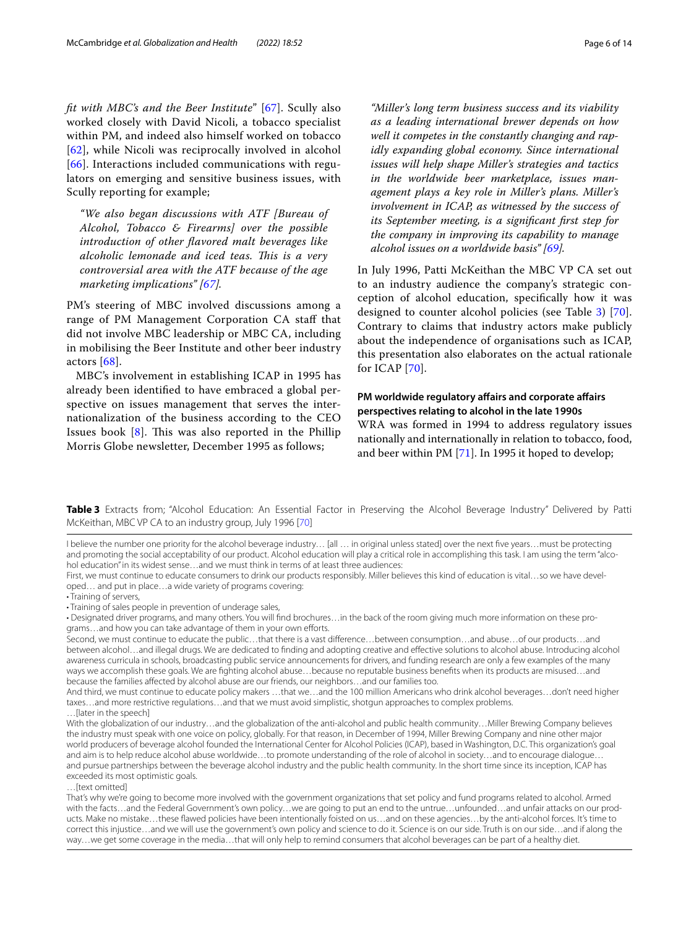*ft with MBC's and the Beer Institute*" [[67](#page-12-11)]. Scully also worked closely with David Nicoli, a tobacco specialist within PM, and indeed also himself worked on tobacco [[62](#page-12-6)], while Nicoli was reciprocally involved in alcohol [[66](#page-12-10)]. Interactions included communications with regulators on emerging and sensitive business issues, with Scully reporting for example;

*"We also began discussions with ATF [Bureau of Alcohol, Tobacco & Firearms] over the possible introduction of other favored malt beverages like alcoholic lemonade and iced teas. Tis is a very controversial area with the ATF because of the age marketing implications" [\[67\]](#page-12-11).*

PM's steering of MBC involved discussions among a range of PM Management Corporation CA staff that did not involve MBC leadership or MBC CA, including in mobilising the Beer Institute and other beer industry actors [\[68](#page-12-12)].

MBC's involvement in establishing ICAP in 1995 has already been identifed to have embraced a global perspective on issues management that serves the internationalization of the business according to the CEO Issues book  $[8]$  $[8]$ . This was also reported in the Phillip Morris Globe newsletter, December 1995 as follows;

*"Miller's long term business success and its viability as a leading international brewer depends on how well it competes in the constantly changing and rapidly expanding global economy. Since international issues will help shape Miller's strategies and tactics in the worldwide beer marketplace, issues management plays a key role in Miller's plans. Miller's involvement in ICAP, as witnessed by the success of its September meeting, is a signifcant frst step for the company in improving its capability to manage alcohol issues on a worldwide basis" [\[69](#page-12-13)].*

In July 1996, Patti McKeithan the MBC VP CA set out to an industry audience the company's strategic conception of alcohol education, specifcally how it was designed to counter alcohol policies (see Table [3](#page-5-0)) [[70](#page-12-14)]. Contrary to claims that industry actors make publicly about the independence of organisations such as ICAP, this presentation also elaborates on the actual rationale for ICAP [\[70](#page-12-14)].

# **PM worldwide regulatory afairs and corporate afairs perspectives relating to alcohol in the late 1990s**

WRA was formed in 1994 to address regulatory issues nationally and internationally in relation to tobacco, food, and beer within PM [\[71](#page-12-15)]. In 1995 it hoped to develop;

<span id="page-5-0"></span>**Table 3** Extracts from; "Alcohol Education: An Essential Factor in Preserving the Alcohol Beverage Industry" Delivered by Patti McKeithan, MBC VP CA to an industry group, July 1996 [\[70\]](#page-12-14)

I believe the number one priority for the alcohol beverage industry… [all … in original unless stated] over the next fve years…must be protecting and promoting the social acceptability of our product. Alcohol education will play a critical role in accomplishing this task. I am using the term "alcohol education" in its widest sense...and we must think in terms of at least three audiences:

First, we must continue to educate consumers to drink our products responsibly. Miller believes this kind of education is vital...so we have developed… and put in place…a wide variety of programs covering:

• Training of sales people in prevention of underage sales,

• Designated driver programs, and many others. You will fnd brochures…in the back of the room giving much more information on these programs...and how you can take advantage of them in your own efforts.

Second, we must continue to educate the public…that there is a vast diference…between consumption…and abuse…of our products…and between alcohol…and illegal drugs. We are dedicated to fnding and adopting creative and efective solutions to alcohol abuse. Introducing alcohol awareness curricula in schools, broadcasting public service announcements for drivers, and funding research are only a few examples of the many ways we accomplish these goals. We are fghting alcohol abuse…because no reputable business benefts when its products are misused…and because the families afected by alcohol abuse are our friends, our neighbors…and our families too.

And third, we must continue to educate policy makers …that we…and the 100 million Americans who drink alcohol beverages…don't need higher taxes…and more restrictive regulations…and that we must avoid simplistic, shotgun approaches to complex problems.

…[later in the speech]

With the globalization of our industry…and the globalization of the anti-alcohol and public health community…Miller Brewing Company believes the industry must speak with one voice on policy, globally. For that reason, in December of 1994, Miller Brewing Company and nine other major world producers of beverage alcohol founded the International Center for Alcohol Policies (ICAP), based in Washington, D.C. This organization's goal and aim is to help reduce alcohol abuse worldwide…to promote understanding of the role of alcohol in society…and to encourage dialogue… and pursue partnerships between the beverage alcohol industry and the public health community. In the short time since its inception, ICAP has exceeded its most optimistic goals.

…[text omitted]

That's why we're going to become more involved with the government organizations that set policy and fund programs related to alcohol. Armed with the facts…and the Federal Government's own policy…we are going to put an end to the untrue…unfounded…and unfair attacks on our products. Make no mistake…these fawed policies have been intentionally foisted on us…and on these agencies…by the anti-alcohol forces. It's time to correct this injustice…and we will use the government's own policy and science to do it. Science is on our side. Truth is on our side…and if along the way…we get some coverage in the media…that will only help to remind consumers that alcohol beverages can be part of a healthy diet.

<sup>•</sup> Training of servers,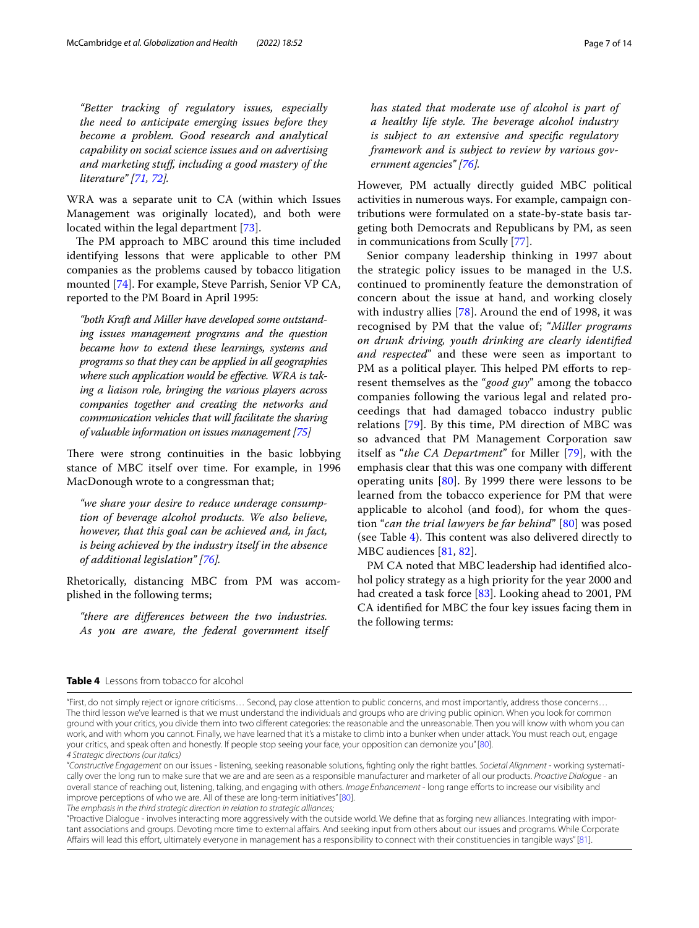*"Better tracking of regulatory issues, especially the need to anticipate emerging issues before they become a problem. Good research and analytical capability on social science issues and on advertising and marketing stuf, including a good mastery of the literature" [[71](#page-12-15), [72\]](#page-12-16).*

WRA was a separate unit to CA (within which Issues Management was originally located), and both were located within the legal department [\[73](#page-12-17)].

The PM approach to MBC around this time included identifying lessons that were applicable to other PM companies as the problems caused by tobacco litigation mounted [\[74](#page-12-18)]. For example, Steve Parrish, Senior VP CA, reported to the PM Board in April 1995:

*"both Kraft and Miller have developed some outstanding issues management programs and the question became how to extend these learnings, systems and programs so that they can be applied in all geographies where such application would be efective. WRA is taking a liaison role, bringing the various players across companies together and creating the networks and communication vehicles that will facilitate the sharing of valuable information on issues management [[75](#page-12-19)]*

There were strong continuities in the basic lobbying stance of MBC itself over time. For example, in 1996 MacDonough wrote to a congressman that;

*"we share your desire to reduce underage consumption of beverage alcohol products. We also believe, however, that this goal can be achieved and, in fact, is being achieved by the industry itself in the absence of additional legislation" [[76\]](#page-12-20).*

Rhetorically, distancing MBC from PM was accomplished in the following terms;

*"there are diferences between the two industries. As you are aware, the federal government itself* 

*has stated that moderate use of alcohol is part of a* healthy life style. The beverage alcohol industry *is subject to an extensive and specifc regulatory framework and is subject to review by various government agencies" [[76\]](#page-12-20).*

However, PM actually directly guided MBC political activities in numerous ways. For example, campaign contributions were formulated on a state-by-state basis targeting both Democrats and Republicans by PM, as seen in communications from Scully [\[77](#page-12-21)].

Senior company leadership thinking in 1997 about the strategic policy issues to be managed in the U.S. continued to prominently feature the demonstration of concern about the issue at hand, and working closely with industry allies [[78\]](#page-12-22). Around the end of 1998, it was recognised by PM that the value of; "*Miller programs on drunk driving, youth drinking are clearly identifed and respected*" and these were seen as important to PM as a political player. This helped PM efforts to represent themselves as the "*good guy*" among the tobacco companies following the various legal and related proceedings that had damaged tobacco industry public relations [[79\]](#page-12-23). By this time, PM direction of MBC was so advanced that PM Management Corporation saw itself as "*the CA Department*" for Miller [[79\]](#page-12-23), with the emphasis clear that this was one company with diferent operating units [[80\]](#page-12-24). By 1999 there were lessons to be learned from the tobacco experience for PM that were applicable to alcohol (and food), for whom the question "*can the trial lawyers be far behind*" [[80\]](#page-12-24) was posed (see Table  $4$ ). This content was also delivered directly to MBC audiences [\[81](#page-12-25), [82](#page-12-26)].

PM CA noted that MBC leadership had identifed alcohol policy strategy as a high priority for the year 2000 and had created a task force [[83\]](#page-12-27). Looking ahead to 2001, PM CA identifed for MBC the four key issues facing them in the following terms:

#### <span id="page-6-0"></span>**Table 4** Lessons from tobacco for alcohol

*The emphasis in the third strategic direction in relation to strategic alliances;*

"Proactive Dialogue - involves interacting more aggressively with the outside world. We defne that as forging new alliances. Integrating with important associations and groups. Devoting more time to external afairs. And seeking input from others about our issues and programs. While Corporate Afairs will lead this efort, ultimately everyone in management has a responsibility to connect with their constituencies in tangible ways" [[81\]](#page-12-25).

<sup>&</sup>quot;First, do not simply reject or ignore criticisms… Second, pay close attention to public concerns, and most importantly, address those concerns… The third lesson we've learned is that we must understand the individuals and groups who are driving public opinion. When you look for common ground with your critics, you divide them into two diferent categories: the reasonable and the unreasonable. Then you will know with whom you can work, and with whom you cannot. Finally, we have learned that it's a mistake to climb into a bunker when under attack. You must reach out, engage your critics, and speak often and honestly. If people stop seeing your face, your opposition can demonize you" [[80\]](#page-12-24). *4 Strategic directions (our italics)*

<sup>&</sup>quot;*Constructive Engagement* on our issues - listening, seeking reasonable solutions, fghting only the right battles. *Societal Alignment* - working systematically over the long run to make sure that we are and are seen as a responsible manufacturer and marketer of all our products. *Proactive Dialogue* - an overall stance of reaching out, listening, talking, and engaging with others. *Image Enhancement* - long range eforts to increase our visibility and improve perceptions of who we are. All of these are long-term initiatives" [\[80](#page-12-24)].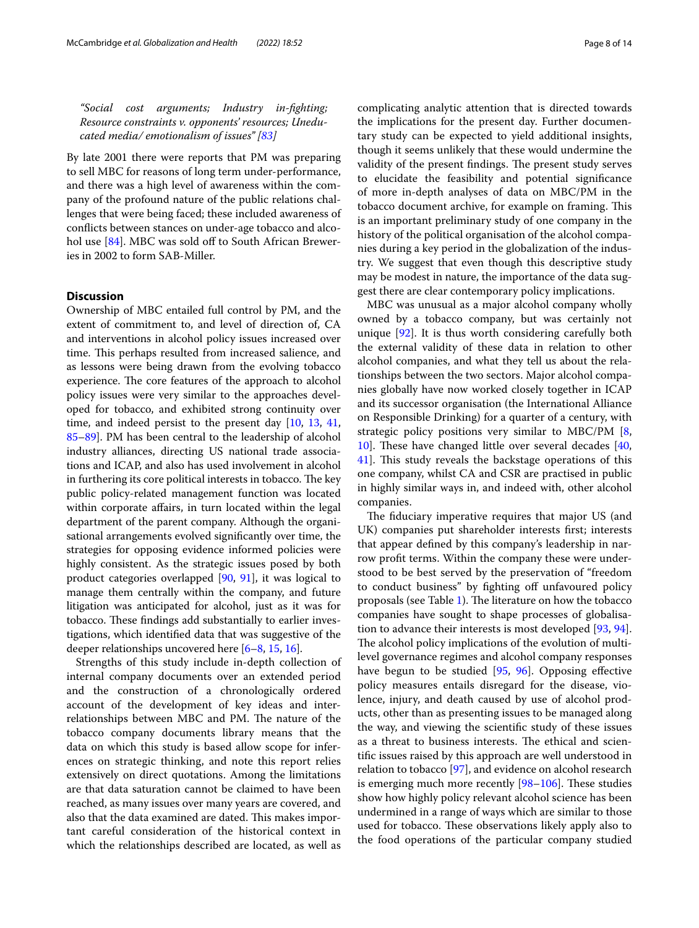*"Social cost arguments; Industry in-fghting; Resource constraints v. opponents' resources; Uneducated media/ emotionalism of issues" [[83\]](#page-12-27)*

By late 2001 there were reports that PM was preparing to sell MBC for reasons of long term under-performance, and there was a high level of awareness within the company of the profound nature of the public relations challenges that were being faced; these included awareness of conficts between stances on under-age tobacco and alco-hol use [\[84\]](#page-12-28). MBC was sold off to South African Breweries in 2002 to form SAB-Miller.

#### **Discussion**

Ownership of MBC entailed full control by PM, and the extent of commitment to, and level of direction of, CA and interventions in alcohol policy issues increased over time. This perhaps resulted from increased salience, and as lessons were being drawn from the evolving tobacco experience. The core features of the approach to alcohol policy issues were very similar to the approaches developed for tobacco, and exhibited strong continuity over time, and indeed persist to the present day [[10,](#page-10-15) [13](#page-10-16), [41](#page-11-18), [85](#page-12-29)[–89](#page-12-30)]. PM has been central to the leadership of alcohol industry alliances, directing US national trade associations and ICAP, and also has used involvement in alcohol in furthering its core political interests in tobacco. The key public policy-related management function was located within corporate affairs, in turn located within the legal department of the parent company. Although the organisational arrangements evolved signifcantly over time, the strategies for opposing evidence informed policies were highly consistent. As the strategic issues posed by both product categories overlapped [\[90,](#page-12-31) [91](#page-12-32)], it was logical to manage them centrally within the company, and future litigation was anticipated for alcohol, just as it was for tobacco. These findings add substantially to earlier investigations, which identifed data that was suggestive of the deeper relationships uncovered here [[6](#page-10-5)[–8](#page-10-7), [15](#page-10-10), [16\]](#page-10-11).

Strengths of this study include in-depth collection of internal company documents over an extended period and the construction of a chronologically ordered account of the development of key ideas and interrelationships between MBC and PM. The nature of the tobacco company documents library means that the data on which this study is based allow scope for inferences on strategic thinking, and note this report relies extensively on direct quotations. Among the limitations are that data saturation cannot be claimed to have been reached, as many issues over many years are covered, and also that the data examined are dated. This makes important careful consideration of the historical context in which the relationships described are located, as well as complicating analytic attention that is directed towards the implications for the present day. Further documentary study can be expected to yield additional insights, though it seems unlikely that these would undermine the validity of the present findings. The present study serves to elucidate the feasibility and potential signifcance of more in-depth analyses of data on MBC/PM in the tobacco document archive, for example on framing. This is an important preliminary study of one company in the history of the political organisation of the alcohol companies during a key period in the globalization of the industry. We suggest that even though this descriptive study may be modest in nature, the importance of the data suggest there are clear contemporary policy implications.

MBC was unusual as a major alcohol company wholly owned by a tobacco company, but was certainly not unique [\[92\]](#page-12-33). It is thus worth considering carefully both the external validity of these data in relation to other alcohol companies, and what they tell us about the relationships between the two sectors. Major alcohol companies globally have now worked closely together in ICAP and its successor organisation (the International Alliance on Responsible Drinking) for a quarter of a century, with strategic policy positions very similar to MBC/PM [\[8](#page-10-7), [10\]](#page-10-15). These have changed little over several decades  $[40, 10]$  $[40, 10]$  $[40, 10]$ [41\]](#page-11-18). This study reveals the backstage operations of this one company, whilst CA and CSR are practised in public in highly similar ways in, and indeed with, other alcohol companies.

The fiduciary imperative requires that major US (and UK) companies put shareholder interests frst; interests that appear defned by this company's leadership in narrow proft terms. Within the company these were understood to be best served by the preservation of "freedom to conduct business" by fighting off unfavoured policy proposals (see Table [1\)](#page-2-0). The literature on how the tobacco companies have sought to shape processes of globalisation to advance their interests is most developed [[93,](#page-13-0) [94](#page-13-1)]. The alcohol policy implications of the evolution of multilevel governance regimes and alcohol company responses have begun to be studied [\[95,](#page-13-2) [96\]](#page-13-3). Opposing efective policy measures entails disregard for the disease, violence, injury, and death caused by use of alcohol products, other than as presenting issues to be managed along the way, and viewing the scientifc study of these issues as a threat to business interests. The ethical and scientifc issues raised by this approach are well understood in relation to tobacco [\[97](#page-13-4)], and evidence on alcohol research is emerging much more recently  $[98-106]$  $[98-106]$  $[98-106]$ . These studies show how highly policy relevant alcohol science has been undermined in a range of ways which are similar to those used for tobacco. These observations likely apply also to the food operations of the particular company studied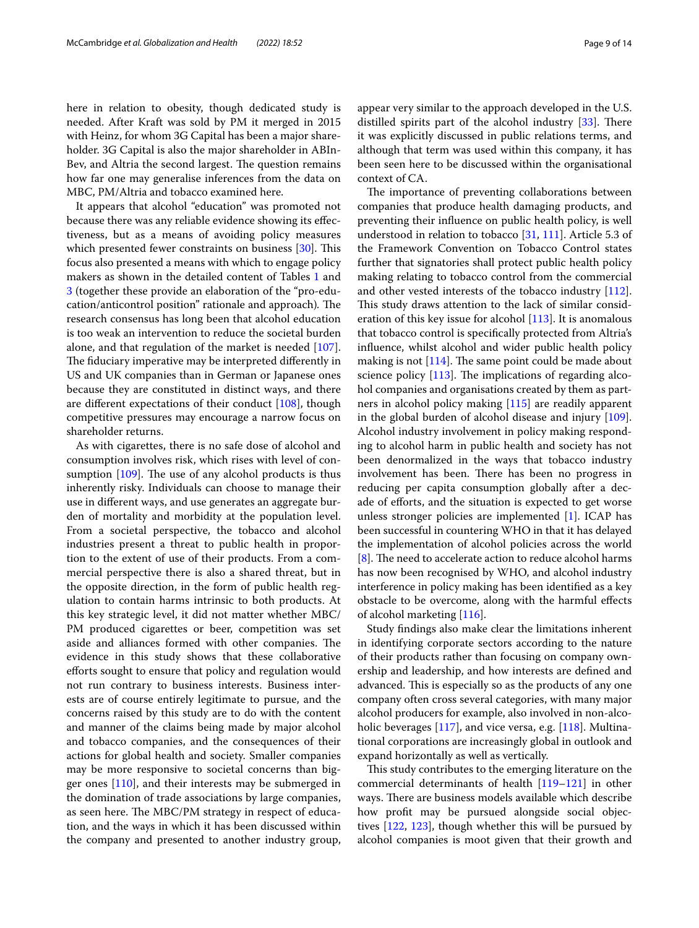here in relation to obesity, though dedicated study is needed. After Kraft was sold by PM it merged in 2015 with Heinz, for whom 3G Capital has been a major shareholder. 3G Capital is also the major shareholder in ABIn-Bev, and Altria the second largest. The question remains how far one may generalise inferences from the data on MBC, PM/Altria and tobacco examined here.

It appears that alcohol "education" was promoted not because there was any reliable evidence showing its efectiveness, but as a means of avoiding policy measures which presented fewer constraints on business  $[30]$ . This focus also presented a means with which to engage policy makers as shown in the detailed content of Tables [1](#page-2-0) and [3](#page-5-0) (together these provide an elaboration of the "pro-education/anticontrol position" rationale and approach). The research consensus has long been that alcohol education is too weak an intervention to reduce the societal burden alone, and that regulation of the market is needed [\[107](#page-13-7)]. The fiduciary imperative may be interpreted differently in US and UK companies than in German or Japanese ones because they are constituted in distinct ways, and there are different expectations of their conduct  $[108]$ , though competitive pressures may encourage a narrow focus on shareholder returns.

As with cigarettes, there is no safe dose of alcohol and consumption involves risk, which rises with level of consumption  $[109]$ . The use of any alcohol products is thus inherently risky. Individuals can choose to manage their use in diferent ways, and use generates an aggregate burden of mortality and morbidity at the population level. From a societal perspective, the tobacco and alcohol industries present a threat to public health in proportion to the extent of use of their products. From a commercial perspective there is also a shared threat, but in the opposite direction, in the form of public health regulation to contain harms intrinsic to both products. At this key strategic level, it did not matter whether MBC/ PM produced cigarettes or beer, competition was set aside and alliances formed with other companies. The evidence in this study shows that these collaborative efforts sought to ensure that policy and regulation would not run contrary to business interests. Business interests are of course entirely legitimate to pursue, and the concerns raised by this study are to do with the content and manner of the claims being made by major alcohol and tobacco companies, and the consequences of their actions for global health and society. Smaller companies may be more responsive to societal concerns than bigger ones [\[110\]](#page-13-10), and their interests may be submerged in the domination of trade associations by large companies, as seen here. The MBC/PM strategy in respect of education, and the ways in which it has been discussed within the company and presented to another industry group, appear very similar to the approach developed in the U.S.

distilled spirits part of the alcohol industry  $[33]$  $[33]$ . There it was explicitly discussed in public relations terms, and although that term was used within this company, it has been seen here to be discussed within the organisational context of CA.

The importance of preventing collaborations between companies that produce health damaging products, and preventing their infuence on public health policy, is well understood in relation to tobacco [[31,](#page-11-10) [111](#page-13-11)]. Article 5.3 of the Framework Convention on Tobacco Control states further that signatories shall protect public health policy making relating to tobacco control from the commercial and other vested interests of the tobacco industry [\[112](#page-13-12)]. This study draws attention to the lack of similar consideration of this key issue for alcohol [\[113](#page-13-13)]. It is anomalous that tobacco control is specifcally protected from Altria's infuence, whilst alcohol and wider public health policy making is not  $[114]$  $[114]$  $[114]$ . The same point could be made about science policy  $[113]$ . The implications of regarding alcohol companies and organisations created by them as partners in alcohol policy making [[115](#page-13-15)] are readily apparent in the global burden of alcohol disease and injury [\[109](#page-13-9)]. Alcohol industry involvement in policy making responding to alcohol harm in public health and society has not been denormalized in the ways that tobacco industry involvement has been. There has been no progress in reducing per capita consumption globally after a decade of efforts, and the situation is expected to get worse unless stronger policies are implemented [\[1](#page-10-0)]. ICAP has been successful in countering WHO in that it has delayed the implementation of alcohol policies across the world  $[8]$  $[8]$ . The need to accelerate action to reduce alcohol harms has now been recognised by WHO, and alcohol industry interference in policy making has been identifed as a key obstacle to be overcome, along with the harmful efects of alcohol marketing [\[116](#page-13-16)].

Study fndings also make clear the limitations inherent in identifying corporate sectors according to the nature of their products rather than focusing on company ownership and leadership, and how interests are defned and advanced. This is especially so as the products of any one company often cross several categories, with many major alcohol producers for example, also involved in non-alco-holic beverages [[117](#page-13-17)], and vice versa, e.g. [\[118](#page-13-18)]. Multinational corporations are increasingly global in outlook and expand horizontally as well as vertically.

This study contributes to the emerging literature on the commercial determinants of health [\[119](#page-13-19)[–121\]](#page-13-20) in other ways. There are business models available which describe how proft may be pursued alongside social objectives [[122,](#page-13-21) [123\]](#page-13-22), though whether this will be pursued by alcohol companies is moot given that their growth and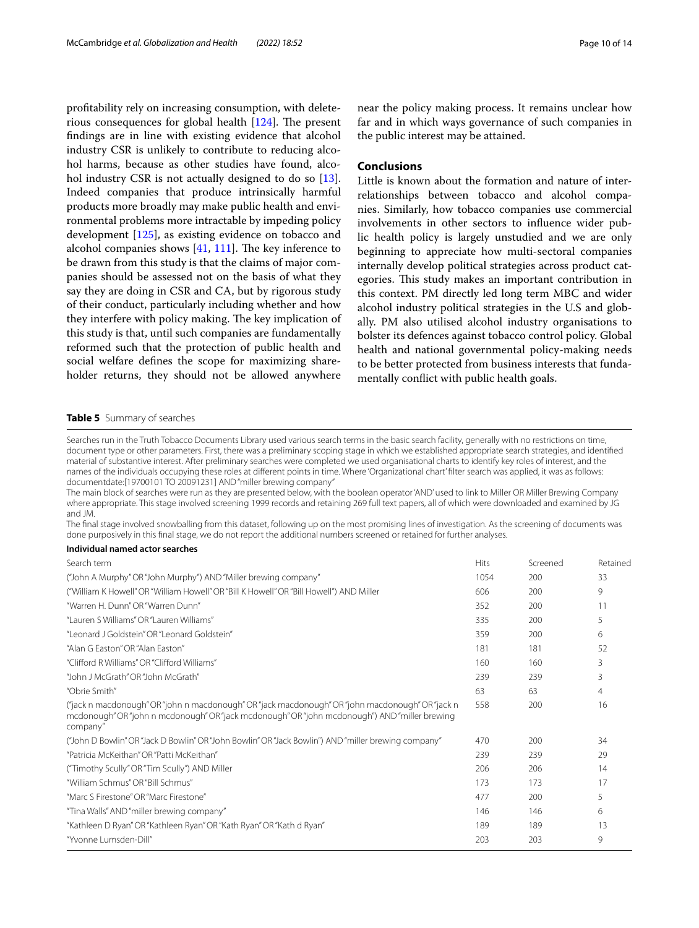proftability rely on increasing consumption, with deleterious consequences for global health  $[124]$  $[124]$ . The present fndings are in line with existing evidence that alcohol industry CSR is unlikely to contribute to reducing alcohol harms, because as other studies have found, alco-hol industry CSR is not actually designed to do so [\[13](#page-10-16)]. Indeed companies that produce intrinsically harmful products more broadly may make public health and environmental problems more intractable by impeding policy development [\[125](#page-13-24)], as existing evidence on tobacco and alcohol companies shows  $[41, 111]$  $[41, 111]$  $[41, 111]$  $[41, 111]$  $[41, 111]$ . The key inference to be drawn from this study is that the claims of major companies should be assessed not on the basis of what they say they are doing in CSR and CA, but by rigorous study of their conduct, particularly including whether and how they interfere with policy making. The key implication of this study is that, until such companies are fundamentally reformed such that the protection of public health and social welfare defnes the scope for maximizing shareholder returns, they should not be allowed anywhere

near the policy making process. It remains unclear how far and in which ways governance of such companies in the public interest may be attained.

#### **Conclusions**

Little is known about the formation and nature of interrelationships between tobacco and alcohol companies. Similarly, how tobacco companies use commercial involvements in other sectors to infuence wider public health policy is largely unstudied and we are only beginning to appreciate how multi-sectoral companies internally develop political strategies across product categories. This study makes an important contribution in this context. PM directly led long term MBC and wider alcohol industry political strategies in the U.S and globally. PM also utilised alcohol industry organisations to bolster its defences against tobacco control policy. Global health and national governmental policy-making needs to be better protected from business interests that fundamentally confict with public health goals.

#### <span id="page-9-0"></span>**Table 5** Summary of searches

Searches run in the Truth Tobacco Documents Library used various search terms in the basic search facility, generally with no restrictions on time, document type or other parameters. First, there was a preliminary scoping stage in which we established appropriate search strategies, and identifed material of substantive interest. After preliminary searches were completed we used organisational charts to identify key roles of interest, and the names of the individuals occupying these roles at diferent points in time. Where 'Organizational chart' flter search was applied, it was as follows: documentdate:[19700101 TO 20091231] AND "miller brewing company"

The main block of searches were run as they are presented below, with the boolean operator 'AND' used to link to Miller OR Miller Brewing Company where appropriate. This stage involved screening 1999 records and retaining 269 full text papers, all of which were downloaded and examined by JG and JM.

The fnal stage involved snowballing from this dataset, following up on the most promising lines of investigation. As the screening of documents was done purposively in this fnal stage, we do not report the additional numbers screened or retained for further analyses.

#### **Individual named actor searches**

| Search term                                                                                                                                                                                                   | Hits | Screened | Retained |
|---------------------------------------------------------------------------------------------------------------------------------------------------------------------------------------------------------------|------|----------|----------|
| "John A Murphy" OR "John Murphy") AND "Miller brewing company"                                                                                                                                                | 1054 | 200      | 33       |
| ("William K Howell" OR "William Howell" OR "Bill K Howell" OR "Bill Howell") AND Miller                                                                                                                       | 606  | 200      | 9        |
| "Warren H. Dunn" OR "Warren Dunn"                                                                                                                                                                             | 352  | 200      | 11       |
| "Lauren S Williams" OR "Lauren Williams"                                                                                                                                                                      | 335  | 200      | 5        |
| "Leonard J Goldstein" OR "Leonard Goldstein"                                                                                                                                                                  | 359  | 200      | 6        |
| "Alan G Faston" OR "Alan Faston"                                                                                                                                                                              | 181  | 181      | 52       |
| "Clifford R Williams" OR "Clifford Williams"                                                                                                                                                                  | 160  | 160      | 3        |
| "John J McGrath" OR "John McGrath"                                                                                                                                                                            | 239  | 239      | 3        |
| "Obrie Smith"                                                                                                                                                                                                 | 63   | 63       | 4        |
| ("jack n macdonough" OR "john n macdonough" OR "jack macdonough" OR "john macdonough" OR "jack n<br>mcdonough" OR "john n mcdonough" OR "jack mcdonough" OR "john mcdonough") AND "miller brewing<br>company" | 558  | 200      | 16       |
| "John D Bowlin" OR "Jack D Bowlin" OR "John Bowlin" OR "Jack Bowlin") AND "miller brewing company"                                                                                                            | 470  | 200      | 34       |
| "Patricia McKeithan" OR "Patti McKeithan"                                                                                                                                                                     | 239  | 239      | 29       |
| ("Timothy Scully" OR "Tim Scully") AND Miller                                                                                                                                                                 | 206  | 206      | 14       |
| "William Schmus" OR "Bill Schmus"                                                                                                                                                                             | 173  | 173      | 17       |
| "Marc S Firestone" OR "Marc Firestone"                                                                                                                                                                        | 477  | 200      | 5        |
| "Tina Walls" AND "miller brewing company"                                                                                                                                                                     | 146  | 146      | 6        |
| "Kathleen D Ryan" OR "Kathleen Ryan" OR "Kath Ryan" OR "Kath d Ryan"                                                                                                                                          | 189  | 189      | 13       |
| "Yvonne Lumsden-Dill"                                                                                                                                                                                         | 203  | 203      | 9        |
|                                                                                                                                                                                                               |      |          |          |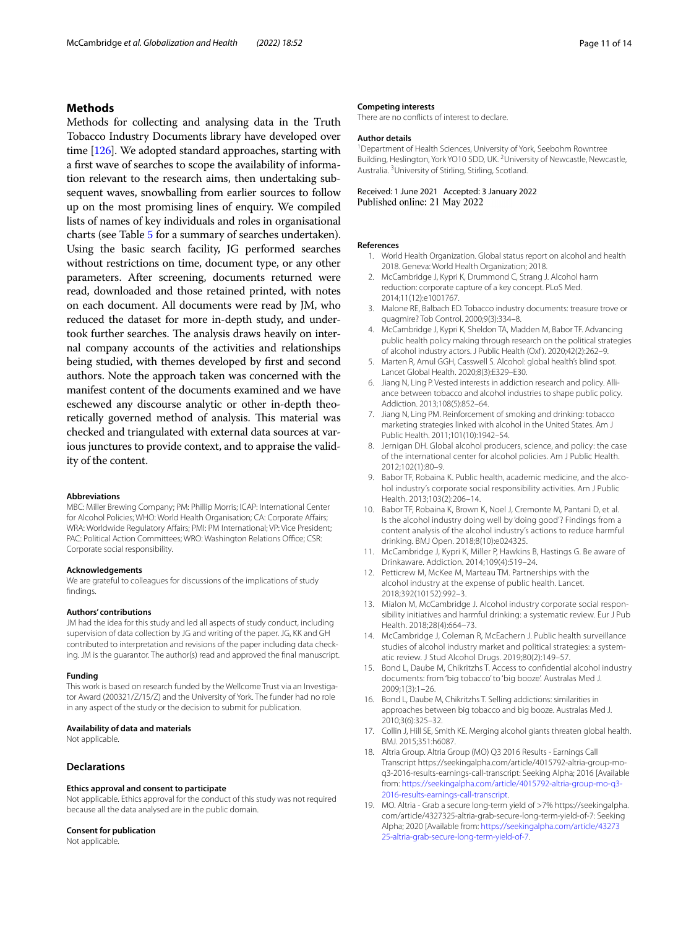#### **Methods**

Methods for collecting and analysing data in the Truth Tobacco Industry Documents library have developed over time [\[126\]](#page-13-25). We adopted standard approaches, starting with a frst wave of searches to scope the availability of information relevant to the research aims, then undertaking subsequent waves, snowballing from earlier sources to follow up on the most promising lines of enquiry. We compiled lists of names of key individuals and roles in organisational charts (see Table [5](#page-9-0) for a summary of searches undertaken). Using the basic search facility, JG performed searches without restrictions on time, document type, or any other parameters. After screening, documents returned were read, downloaded and those retained printed, with notes on each document. All documents were read by JM, who reduced the dataset for more in-depth study, and undertook further searches. The analysis draws heavily on internal company accounts of the activities and relationships being studied, with themes developed by frst and second authors. Note the approach taken was concerned with the manifest content of the documents examined and we have eschewed any discourse analytic or other in-depth theoretically governed method of analysis. This material was checked and triangulated with external data sources at various junctures to provide context, and to appraise the validity of the content.

#### **Abbreviations**

MBC: Miller Brewing Company; PM: Phillip Morris; ICAP: International Center for Alcohol Policies; WHO: World Health Organisation; CA: Corporate Afairs; WRA: Worldwide Regulatory Afairs; PMI: PM International; VP: Vice President; PAC: Political Action Committees; WRO: Washington Relations Office; CSR: Corporate social responsibility.

#### **Acknowledgements**

We are grateful to colleagues for discussions of the implications of study fndings.

#### **Authors' contributions**

JM had the idea for this study and led all aspects of study conduct, including supervision of data collection by JG and writing of the paper. JG, KK and GH contributed to interpretation and revisions of the paper including data checking. JM is the guarantor. The author(s) read and approved the fnal manuscript.

#### **Funding**

This work is based on research funded by the Wellcome Trust via an Investigator Award (200321/Z/15/Z) and the University of York. The funder had no role in any aspect of the study or the decision to submit for publication.

#### **Availability of data and materials**

Not applicable.

#### **Declarations**

#### **Ethics approval and consent to participate**

Not applicable. Ethics approval for the conduct of this study was not required because all the data analysed are in the public domain.

#### **Consent for publication**

Not applicable.

#### **Competing interests**

There are no conficts of interest to declare.

#### **Author details**

<sup>1</sup> Department of Health Sciences, University of York, Seebohm Rowntree Building, Heslington, York YO10 5DD, UK. <sup>2</sup> University of Newcastle, Newcastle, Australia. 3 University of Stirling, Stirling, Scotland.

#### Received: 1 June 2021 Accepted: 3 January 2022 Published online: 21 May 2022

#### <span id="page-10-0"></span>**References**

- 1. World Health Organization. Global status report on alcohol and health 2018. Geneva: World Health Organization; 2018.
- <span id="page-10-1"></span>2. McCambridge J, Kypri K, Drummond C, Strang J. Alcohol harm reduction: corporate capture of a key concept. PLoS Med. 2014;11(12):e1001767.
- <span id="page-10-2"></span>3. Malone RE, Balbach ED. Tobacco industry documents: treasure trove or quagmire? Tob Control. 2000;9(3):334–8.
- <span id="page-10-3"></span>4. McCambridge J, Kypri K, Sheldon TA, Madden M, Babor TF. Advancing public health policy making through research on the political strategies of alcohol industry actors. J Public Health (Oxf ). 2020;42(2):262–9.
- <span id="page-10-4"></span>5. Marten R, Amul GGH, Casswell S. Alcohol: global health's blind spot. Lancet Global Health. 2020;8(3):E329–E30.
- <span id="page-10-5"></span>6. Jiang N, Ling P. Vested interests in addiction research and policy. Alliance between tobacco and alcohol industries to shape public policy. Addiction. 2013;108(5):852–64.
- <span id="page-10-6"></span>7. Jiang N, Ling PM. Reinforcement of smoking and drinking: tobacco marketing strategies linked with alcohol in the United States. Am J Public Health. 2011;101(10):1942–54.
- <span id="page-10-7"></span>8. Jernigan DH. Global alcohol producers, science, and policy: the case of the international center for alcohol policies. Am J Public Health. 2012;102(1):80–9.
- <span id="page-10-8"></span>9. Babor TF, Robaina K. Public health, academic medicine, and the alcohol industry's corporate social responsibility activities. Am J Public Health. 2013;103(2):206–14.
- <span id="page-10-15"></span>10. Babor TF, Robaina K, Brown K, Noel J, Cremonte M, Pantani D, et al. Is the alcohol industry doing well by 'doing good'? Findings from a content analysis of the alcohol industry's actions to reduce harmful drinking. BMJ Open. 2018;8(10):e024325.
- 11. McCambridge J, Kypri K, Miller P, Hawkins B, Hastings G. Be aware of Drinkaware. Addiction. 2014;109(4):519–24.
- 12. Petticrew M, McKee M, Marteau TM. Partnerships with the alcohol industry at the expense of public health. Lancet. 2018;392(10152):992–3.
- <span id="page-10-16"></span>13. Mialon M, McCambridge J. Alcohol industry corporate social responsibility initiatives and harmful drinking: a systematic review. Eur J Pub Health. 2018;28(4):664–73.
- <span id="page-10-9"></span>14. McCambridge J, Coleman R, McEachern J. Public health surveillance studies of alcohol industry market and political strategies: a systematic review. J Stud Alcohol Drugs. 2019;80(2):149–57.
- <span id="page-10-10"></span>15. Bond L, Daube M, Chikritzhs T. Access to confdential alcohol industry documents: from 'big tobacco' to 'big booze'. Australas Med J. 2009;1(3):1–26.
- <span id="page-10-11"></span>16. Bond L, Daube M, Chikritzhs T. Selling addictions: similarities in approaches between big tobacco and big booze. Australas Med J. 2010;3(6):325–32.
- <span id="page-10-12"></span>17. Collin J, Hill SE, Smith KE. Merging alcohol giants threaten global health. BMJ. 2015;351:h6087.
- <span id="page-10-13"></span>18. Altria Group. Altria Group (MO) Q3 2016 Results - Earnings Call Transcript https://seekingalpha.com/article/4015792-altria-group-moq3-2016-results-earnings-call-transcript: Seeking Alpha; 2016 [Available from: [https://seekingalpha.com/article/4015792-altria-group-mo-q3-](https://seekingalpha.com/article/4015792-altria-group-mo-q3-2016-results-earnings-call-transcript) [2016-results-earnings-call-transcript](https://seekingalpha.com/article/4015792-altria-group-mo-q3-2016-results-earnings-call-transcript).
- <span id="page-10-14"></span>19. MO. Altria - Grab a secure long-term yield of >7% https://seekingalpha. com/article/4327325-altria-grab-secure-long-term-yield-of-7: Seeking Alpha; 2020 [Available from: [https://seekingalpha.com/article/43273](https://seekingalpha.com/article/4327325-altria-grab-secure-long-term-yield-of-7) [25-altria-grab-secure-long-term-yield-of-7.](https://seekingalpha.com/article/4327325-altria-grab-secure-long-term-yield-of-7)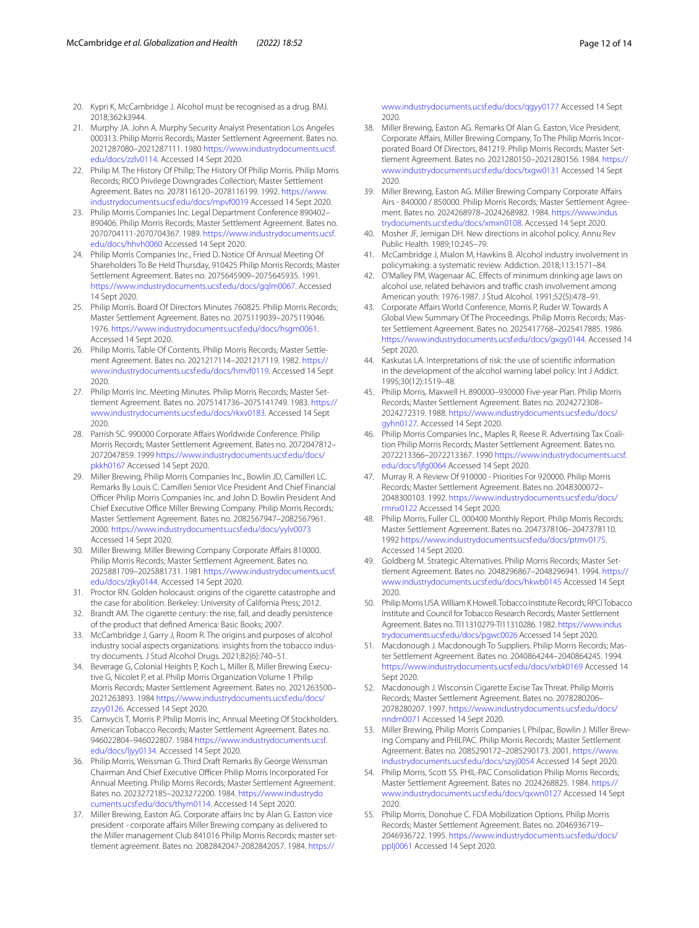- <span id="page-11-0"></span>20. Kypri K, McCambridge J. Alcohol must be recognised as a drug. BMJ. 2018;362:k3944.
- <span id="page-11-1"></span>21. Murphy JA. John A. Murphy Security Analyst Presentation Los Angeles 000313. Philip Morris Records; Master Settlement Agreement. Bates no. 2021287080–2021287111. 1980 [https://www.industrydocuments.ucsf.](https://www.industrydocuments.ucsf.edu/docs/zzlv0114) [edu/docs/zzlv0114](https://www.industrydocuments.ucsf.edu/docs/zzlv0114). Accessed 14 Sept 2020.
- <span id="page-11-2"></span>22. Philip M. The History Of Philip; The History Of Philip Morris. Philip Morris Records; RICO Privilege Downgrades Collection; Master Settlement Agreement. Bates no. 2078116120–2078116199. 1992. [https://www.](https://www.industrydocuments.ucsf.edu/docs/mpvf0019) [industrydocuments.ucsf.edu/docs/mpvf0019](https://www.industrydocuments.ucsf.edu/docs/mpvf0019) Accessed 14 Sept 2020.
- <span id="page-11-3"></span>23. Philip Morris Companies Inc. Legal Department Conference 890402– 890406. Philip Morris Records; Master Settlement Agreement. Bates no. 2070704111-2070704367. 1989. [https://www.industrydocuments.ucsf.](https://www.industrydocuments.ucsf.edu/docs/hhvh0060) [edu/docs/hhvh0060](https://www.industrydocuments.ucsf.edu/docs/hhvh0060) Accessed 14 Sept 2020.
- <span id="page-11-4"></span>24. Philip Morris Companies Inc., Fried D. Notice Of Annual Meeting Of Shareholders To Be Held Thursday, 910425 Philip Morris Records; Master Settlement Agreement. Bates no. 2075645909–2075645935. 1991. [https://www.industrydocuments.ucsf.edu/docs/gqlm0067.](https://www.industrydocuments.ucsf.edu/docs/gqlm0067) Accessed 14 Sept 2020.
- <span id="page-11-5"></span>25. Philip Morris. Board Of Directors Minutes 760825. Philip Morris Records; Master Settlement Agreement. Bates no. 2075119039–2075119046. 1976. <https://www.industrydocuments.ucsf.edu/docs/hsgm0061>. Accessed 14 Sept 2020.
- 26. Philip Morris. Table Of Contents. Philip Morris Records; Master Settlement Agreement. Bates no. 2021217114–2021217119. 1982. [https://](https://www.industrydocuments.ucsf.edu/docs/hmvf0119) [www.industrydocuments.ucsf.edu/docs/hmvf0119](https://www.industrydocuments.ucsf.edu/docs/hmvf0119). Accessed 14 Sept 2020.
- <span id="page-11-6"></span>27. Philip Morris Inc. Meeting Minutes. Philip Morris Records; Master Settlement Agreement. Bates no. 2075141736–2075141749. 1983. [https://](https://www.industrydocuments.ucsf.edu/docs/rkxv0183) [www.industrydocuments.ucsf.edu/docs/rkxv0183.](https://www.industrydocuments.ucsf.edu/docs/rkxv0183) Accessed 14 Sept 2020.
- <span id="page-11-7"></span>28. Parrish SC. 990000 Corporate Affairs Worldwide Conference. Philip Morris Records; Master Settlement Agreement. Bates no. 2072047812– 2072047859. 1999 [https://www.industrydocuments.ucsf.edu/docs/](https://www.industrydocuments.ucsf.edu/docs/pkkh0167) [pkkh0167](https://www.industrydocuments.ucsf.edu/docs/pkkh0167) Accessed 14 Sept 2020.
- <span id="page-11-8"></span>29. Miller Brewing, Philip Morris Companies Inc., Bowlin JD, Camilleri LC. Remarks By Louis C. Camilleri Senior Vice President And Chief Financial Officer Philip Morris Companies Inc. and John D. Bowlin President And Chief Executive Office Miller Brewing Company. Philip Morris Records; Master Settlement Agreement. Bates no. 2082567947–2082567961. 2000. <https://www.industrydocuments.ucsf.edu/docs/yylv0073> Accessed 14 Sept 2020.
- <span id="page-11-9"></span>30. Miller Brewing. Miller Brewing Company Corporate Afairs 810000. Philip Morris Records; Master Settlement Agreement. Bates no. 2025881709–2025881731. 1981 [https://www.industrydocuments.ucsf.](https://www.industrydocuments.ucsf.edu/docs/zjky0144) [edu/docs/zjky0144](https://www.industrydocuments.ucsf.edu/docs/zjky0144). Accessed 14 Sept 2020.
- <span id="page-11-10"></span>31. Proctor RN. Golden holocaust: origins of the cigarette catastrophe and the case for abolition. Berkeley: University of California Press; 2012.
- <span id="page-11-11"></span>32. Brandt AM. The cigarette century: the rise, fall, and deadly persistence of the product that defned America: Basic Books; 2007.
- <span id="page-11-12"></span>33. McCambridge J, Garry J, Room R. The origins and purposes of alcohol industry social aspects organizations: insights from the tobacco industry documents. J Stud Alcohol Drugs. 2021;82(6):740–51.
- <span id="page-11-13"></span>34. Beverage G, Colonial Heights P, Koch L, Miller B, Miller Brewing Executive G, Nicolet P, et al. Philip Morris Organization Volume 1 Philip Morris Records; Master Settlement Agreement. Bates no. 2021263500– 2021263893. 1984 [https://www.industrydocuments.ucsf.edu/docs/](https://www.industrydocuments.ucsf.edu/docs/zzyy0126) [zzyy0126.](https://www.industrydocuments.ucsf.edu/docs/zzyy0126) Accessed 14 Sept 2020.
- <span id="page-11-14"></span>35. Camvycis T, Morris P. Philip Morris Inc, Annual Meeting Of Stockholders. American Tobacco Records; Master Settlement Agreement. Bates no. 946022804–946022807. 1984 [https://www.industrydocuments.ucsf.](https://www.industrydocuments.ucsf.edu/docs/ljyy0134) [edu/docs/ljyy0134.](https://www.industrydocuments.ucsf.edu/docs/ljyy0134) Accessed 14 Sept 2020.
- <span id="page-11-15"></span>36. Philip Morris, Weissman G. Third Draft Remarks By George Weissman Chairman And Chief Executive Officer Philip Morris Incorporated For Annual Meeting. Philip Morris Records; Master Settlement Agreement. Bates no. 2023272185–2023272200. 1984. [https://www.industrydo](https://www.industrydocuments.ucsf.edu/docs/thym0114) [cuments.ucsf.edu/docs/thym0114](https://www.industrydocuments.ucsf.edu/docs/thym0114). Accessed 14 Sept 2020.
- <span id="page-11-16"></span>37. Miller Brewing, Easton AG. Corporate affairs Inc by Alan G. Easton vice president - corporate affairs Miller Brewing company as delivered to the Miller management Club 841016 Philip Morris Records; master settlement agreement. Bates no. 2082842047-2082842057. 1984. [https://](https://www.industrydocuments.ucsf.edu/docs/qgyy0177)

[www.industrydocuments.ucsf.edu/docs/qgyy0177](https://www.industrydocuments.ucsf.edu/docs/qgyy0177) Accessed 14 Sept 2020.

- <span id="page-11-19"></span>38. Miller Brewing, Easton AG. Remarks Of Alan G. Easton, Vice President, Corporate Afairs, Miller Brewing Company, To The Philip Morris Incorporated Board Of Directors, 841219. Philip Morris Records; Master Settlement Agreement. Bates no. 2021280150–2021280156. 1984. [https://](https://www.industrydocuments.ucsf.edu/docs/txgw0131) [www.industrydocuments.ucsf.edu/docs/txgw0131](https://www.industrydocuments.ucsf.edu/docs/txgw0131) Accessed 14 Sept 2020.
- <span id="page-11-20"></span>39. Miller Brewing, Easton AG. Miller Brewing Company Corporate Affairs Airs - 840000 / 850000. Philip Morris Records; Master Settlement Agreement. Bates no. 2024268978–2024268982. 1984. [https://www.indus](https://www.industrydocuments.ucsf.edu/docs/xmxn0108) [trydocuments.ucsf.edu/docs/xmxn0108](https://www.industrydocuments.ucsf.edu/docs/xmxn0108). Accessed 14 Sept 2020.
- <span id="page-11-17"></span>40. Mosher JF, Jernigan DH. New directions in alcohol policy. Annu Rev Public Health. 1989;10:245–79.
- <span id="page-11-18"></span>41. McCambridge J, Mialon M, Hawkins B. Alcohol industry involvement in policymaking: a systematic review. Addiction. 2018;113:1571–84.
- <span id="page-11-21"></span>42. O'Malley PM, Wagenaar AC. Efects of minimum drinking age laws on alcohol use, related behaviors and traffic crash involvement among American youth: 1976-1987. J Stud Alcohol. 1991;52(5):478–91.
- <span id="page-11-22"></span>43. Corporate Afairs World Conference, Morris P, Ruder W. Towards A Global View Summary Of The Proceedings. Philip Morris Records; Master Settlement Agreement. Bates no. 2025417768–2025417885. 1986. <https://www.industrydocuments.ucsf.edu/docs/gxgy0144>. Accessed 14 Sept 2020.
- <span id="page-11-23"></span>44. Kaskutas LA. Interpretations of risk: the use of scientifc information in the development of the alcohol warning label policy. Int J Addict. 1995;30(12):1519–48.
- <span id="page-11-24"></span>45. Philip Morris, Maxwell H. 890000–930000 Five-year Plan. Philip Morris Records; Master Settlement Agreement. Bates no. 2024272308– 2024272319. 1988. [https://www.industrydocuments.ucsf.edu/docs/](https://www.industrydocuments.ucsf.edu/docs/gyhn0127) [gyhn0127](https://www.industrydocuments.ucsf.edu/docs/gyhn0127). Accessed 14 Sept 2020.
- <span id="page-11-25"></span>46. Philip Morris Companies Inc., Maples R, Reese R. Advertising Tax Coalition Philip Morris Records; Master Settlement Agreement. Bates no. 2072213366–2072213367. 1990 [https://www.industrydocuments.ucsf.](https://www.industrydocuments.ucsf.edu/docs/ljfg0064) [edu/docs/ljfg0064](https://www.industrydocuments.ucsf.edu/docs/ljfg0064) Accessed 14 Sept 2020.
- <span id="page-11-26"></span>47. Murray R. A Review Of 910000 - Priorities For 920000. Philip Morris Records; Master Settlement Agreement. Bates no. 2048300072– 2048300103. 1992. [https://www.industrydocuments.ucsf.edu/docs/](https://www.industrydocuments.ucsf.edu/docs/rmnx0122) [rmnx0122](https://www.industrydocuments.ucsf.edu/docs/rmnx0122) Accessed 14 Sept 2020.
- <span id="page-11-27"></span>48. Philip Morris, Fuller CL. 000400 Monthly Report. Philip Morris Records; Master Settlement Agreement. Bates no. 2047378106–2047378110. 1992 <https://www.industrydocuments.ucsf.edu/docs/ptmv0175>. Accessed 14 Sept 2020.
- <span id="page-11-28"></span>49. Goldberg M. Strategic Alternatives. Philip Morris Records; Master Settlement Agreement. Bates no. 2048296867–2048296941. 1994. [https://](https://www.industrydocuments.ucsf.edu/docs/hkwb0145) [www.industrydocuments.ucsf.edu/docs/hkwb0145](https://www.industrydocuments.ucsf.edu/docs/hkwb0145) Accessed 14 Sept 2020.
- <span id="page-11-29"></span>50. Philip Morris USA. William K Howell. Tobacco Institute Records; RPCI Tobacco Institute and Council for Tobacco Research Records; Master Settlement Agreement. Bates no. TI11310279-TI11310286. 1982. [https://www.indus](https://www.industrydocuments.ucsf.edu/docs/pgwc0026) [trydocuments.ucsf.edu/docs/pgwc0026](https://www.industrydocuments.ucsf.edu/docs/pgwc0026) Accessed 14 Sept 2020.
- <span id="page-11-30"></span>51. Macdonough J. Macdonough To Suppliers. Philip Morris Records; Master Settlement Agreement. Bates no. 2040864244–2040864245. 1994. <https://www.industrydocuments.ucsf.edu/docs/xrbk0169>Accessed 14 Sept 2020.
- <span id="page-11-31"></span>52. Macdonough J. Wisconsin Cigarette Excise Tax Threat. Philip Morris Records; Master Settlement Agreement. Bates no. 2078280206– 2078280207. 1997. [https://www.industrydocuments.ucsf.edu/docs/](https://www.industrydocuments.ucsf.edu/docs/nndm0071) [nndm0071](https://www.industrydocuments.ucsf.edu/docs/nndm0071) Accessed 14 Sept 2020.
- <span id="page-11-32"></span>53. Miller Brewing, Philip Morris Companies I, Philpac, Bowlin J. Miller Brewing Company and PHILPAC. Philip Morris Records; Master Settlement Agreement. Bates no. 2085290172–2085290173. 2001. [https://www.](https://www.industrydocuments.ucsf.edu/docs/szyj0054) [industrydocuments.ucsf.edu/docs/szyj0054](https://www.industrydocuments.ucsf.edu/docs/szyj0054) Accessed 14 Sept 2020.
- <span id="page-11-33"></span>54. Philip Morris, Scott SS. PHIL-PAC Consolidation Philip Morris Records; Master Settlement Agreement. Bates no. 2024268825. 1984. [https://](https://www.industrydocuments.ucsf.edu/docs/qxwn0127) [www.industrydocuments.ucsf.edu/docs/qxwn0127](https://www.industrydocuments.ucsf.edu/docs/qxwn0127) Accessed 14 Sept 2020.
- <span id="page-11-34"></span>55. Philip Morris, Donohue C. FDA Mobilization Options. Philip Morris Records; Master Settlement Agreement. Bates no. 2046936719– 2046936722. 1995. [https://www.industrydocuments.ucsf.edu/docs/](https://www.industrydocuments.ucsf.edu/docs/pplj0061) [pplj0061](https://www.industrydocuments.ucsf.edu/docs/pplj0061) Accessed 14 Sept 2020.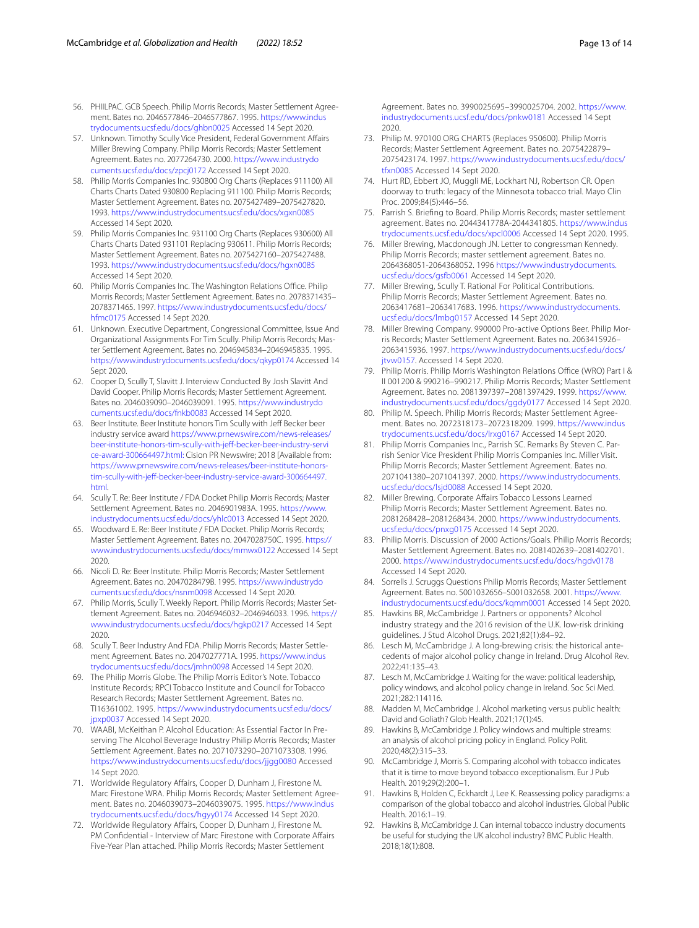- <span id="page-12-0"></span>56. PHIILPAC. GCB Speech. Philip Morris Records; Master Settlement Agreement. Bates no. 2046577846–2046577867. 1995. [https://www.indus](https://www.industrydocuments.ucsf.edu/docs/ghbn0025) [trydocuments.ucsf.edu/docs/ghbn0025](https://www.industrydocuments.ucsf.edu/docs/ghbn0025) Accessed 14 Sept 2020.
- <span id="page-12-1"></span>57. Unknown. Timothy Scully Vice President, Federal Government Afairs Miller Brewing Company. Philip Morris Records; Master Settlement Agreement. Bates no. 2077264730. 2000. [https://www.industrydo](https://www.industrydocuments.ucsf.edu/docs/zpcj0172) [cuments.ucsf.edu/docs/zpcj0172](https://www.industrydocuments.ucsf.edu/docs/zpcj0172) Accessed 14 Sept 2020.
- <span id="page-12-2"></span>58. Philip Morris Companies Inc. 930800 Org Charts (Replaces 911100) All Charts Charts Dated 930800 Replacing 911100. Philip Morris Records; Master Settlement Agreement. Bates no. 2075427489–2075427820. 1993. <https://www.industrydocuments.ucsf.edu/docs/xgxn0085> Accessed 14 Sept 2020.
- <span id="page-12-3"></span>59. Philip Morris Companies Inc. 931100 Org Charts (Replaces 930600) All Charts Charts Dated 931101 Replacing 930611. Philip Morris Records; Master Settlement Agreement. Bates no. 2075427160–2075427488. 1993. <https://www.industrydocuments.ucsf.edu/docs/hgxn0085> Accessed 14 Sept 2020.
- <span id="page-12-4"></span>60. Philip Morris Companies Inc. The Washington Relations Office. Philip Morris Records; Master Settlement Agreement. Bates no. 2078371435– 2078371465. 1997. [https://www.industrydocuments.ucsf.edu/docs/](https://www.industrydocuments.ucsf.edu/docs/hfmc0175) [hfmc0175](https://www.industrydocuments.ucsf.edu/docs/hfmc0175) Accessed 14 Sept 2020.
- <span id="page-12-5"></span>61. Unknown. Executive Department, Congressional Committee, Issue And Organizational Assignments For Tim Scully. Philip Morris Records; Master Settlement Agreement. Bates no. 2046945834–2046945835. 1995. <https://www.industrydocuments.ucsf.edu/docs/qkyp0174>Accessed 14 Sept 2020.
- <span id="page-12-6"></span>62. Cooper D, Scully T, Slavitt J. Interview Conducted By Josh Slavitt And David Cooper. Philip Morris Records; Master Settlement Agreement. Bates no. 2046039090–2046039091. 1995. [https://www.industrydo](https://www.industrydocuments.ucsf.edu/docs/fnkb0083) [cuments.ucsf.edu/docs/fnkb0083](https://www.industrydocuments.ucsf.edu/docs/fnkb0083) Accessed 14 Sept 2020.
- <span id="page-12-7"></span>63. Beer Institute. Beer Institute honors Tim Scully with Jeff Becker beer industry service award [https://www.prnewswire.com/news-releases/](https://www.prnewswire.com/news-releases/beer-institute-honors-tim-scully-with-jeff-becker-beer-industry-service-award-300664497.html:) [beer-institute-honors-tim-scully-with-jef-becker-beer-industry-servi](https://www.prnewswire.com/news-releases/beer-institute-honors-tim-scully-with-jeff-becker-beer-industry-service-award-300664497.html:) [ce-award-300664497.html:](https://www.prnewswire.com/news-releases/beer-institute-honors-tim-scully-with-jeff-becker-beer-industry-service-award-300664497.html:) Cision PR Newswire; 2018 [Available from: [https://www.prnewswire.com/news-releases/beer-institute-honors](https://www.prnewswire.com/news-releases/beer-institute-honors-tim-scully-with-jeff-becker-beer-industry-service-award-300664497.html)tim-scully-with-jeff-becker-beer-industry-service-award-300664497. [html](https://www.prnewswire.com/news-releases/beer-institute-honors-tim-scully-with-jeff-becker-beer-industry-service-award-300664497.html).
- <span id="page-12-8"></span>64. Scully T. Re: Beer Institute / FDA Docket Philip Morris Records; Master Settlement Agreement. Bates no. 2046901983A. 1995. [https://www.](https://www.industrydocuments.ucsf.edu/docs/yhlc0013) [industrydocuments.ucsf.edu/docs/yhlc0013](https://www.industrydocuments.ucsf.edu/docs/yhlc0013) Accessed 14 Sept 2020.
- <span id="page-12-9"></span>65. Woodward E. Re: Beer Institute / FDA Docket. Philip Morris Records; Master Settlement Agreement. Bates no. 2047028750C. 1995. [https://](https://www.industrydocuments.ucsf.edu/docs/mmwx0122) [www.industrydocuments.ucsf.edu/docs/mmwx0122](https://www.industrydocuments.ucsf.edu/docs/mmwx0122) Accessed 14 Sept 2020.
- <span id="page-12-10"></span>66. Nicoli D. Re: Beer Institute. Philip Morris Records; Master Settlement Agreement. Bates no. 2047028479B. 1995. [https://www.industrydo](https://www.industrydocuments.ucsf.edu/docs/nsnm0098) [cuments.ucsf.edu/docs/nsnm0098](https://www.industrydocuments.ucsf.edu/docs/nsnm0098) Accessed 14 Sept 2020.
- <span id="page-12-11"></span>67. Philip Morris, Scully T. Weekly Report. Philip Morris Records; Master Settlement Agreement. Bates no. 2046946032–2046946033. 1996. [https://](https://www.industrydocuments.ucsf.edu/docs/hgkp0217) [www.industrydocuments.ucsf.edu/docs/hgkp0217](https://www.industrydocuments.ucsf.edu/docs/hgkp0217) Accessed 14 Sept 2020.
- <span id="page-12-12"></span>68. Scully T. Beer Industry And FDA. Philip Morris Records; Master Settlement Agreement. Bates no. 2047027771A. 1995. [https://www.indus](https://www.industrydocuments.ucsf.edu/docs/jmhn0098) [trydocuments.ucsf.edu/docs/jmhn0098](https://www.industrydocuments.ucsf.edu/docs/jmhn0098) Accessed 14 Sept 2020.
- <span id="page-12-13"></span>69. The Philip Morris Globe. The Philip Morris Editor's Note. Tobacco Institute Records; RPCI Tobacco Institute and Council for Tobacco Research Records; Master Settlement Agreement. Bates no. TI16361002. 1995. [https://www.industrydocuments.ucsf.edu/docs/](https://www.industrydocuments.ucsf.edu/docs/jpxp0037) [jpxp0037](https://www.industrydocuments.ucsf.edu/docs/jpxp0037) Accessed 14 Sept 2020.
- <span id="page-12-14"></span>70. WAABI, McKeithan P. Alcohol Education: As Essential Factor In Preserving The Alcohol Beverage Industry Philip Morris Records; Master Settlement Agreement. Bates no. 2071073290–2071073308. 1996. <https://www.industrydocuments.ucsf.edu/docs/jjgg0080>Accessed 14 Sept 2020.
- <span id="page-12-15"></span>71. Worldwide Regulatory Afairs, Cooper D, Dunham J, Firestone M. Marc Firestone WRA. Philip Morris Records; Master Settlement Agreement. Bates no. 2046039073–2046039075. 1995. [https://www.indus](https://www.industrydocuments.ucsf.edu/docs/hgyy0174) [trydocuments.ucsf.edu/docs/hgyy0174](https://www.industrydocuments.ucsf.edu/docs/hgyy0174) Accessed 14 Sept 2020.
- <span id="page-12-16"></span>72. Worldwide Regulatory Afairs, Cooper D, Dunham J, Firestone M. PM Confidential - Interview of Marc Firestone with Corporate Affairs Five-Year Plan attached. Philip Morris Records; Master Settlement

Agreement. Bates no. 3990025695–3990025704. 2002. [https://www.](https://www.industrydocuments.ucsf.edu/docs/pnkw0181) [industrydocuments.ucsf.edu/docs/pnkw0181](https://www.industrydocuments.ucsf.edu/docs/pnkw0181) Accessed 14 Sept 2020.

- <span id="page-12-17"></span>73. Philip M. 970100 ORG CHARTS (Replaces 950600). Philip Morris Records; Master Settlement Agreement. Bates no. 2075422879– 2075423174. 1997. [https://www.industrydocuments.ucsf.edu/docs/](https://www.industrydocuments.ucsf.edu/docs/tfxn0085) [tfxn0085](https://www.industrydocuments.ucsf.edu/docs/tfxn0085) Accessed 14 Sept 2020.
- <span id="page-12-18"></span>74. Hurt RD, Ebbert JO, Muggli ME, Lockhart NJ, Robertson CR. Open doorway to truth: legacy of the Minnesota tobacco trial. Mayo Clin Proc. 2009;84(5):446–56.
- <span id="page-12-19"></span>75. Parrish S. Briefng to Board. Philip Morris Records; master settlement agreement. Bates no. 2044341778A-2044341805. [https://www.indus](https://www.industrydocuments.ucsf.edu/docs/xpcl0006) [trydocuments.ucsf.edu/docs/xpcl0006](https://www.industrydocuments.ucsf.edu/docs/xpcl0006) Accessed 14 Sept 2020. 1995.
- <span id="page-12-20"></span>76. Miller Brewing, Macdonough JN. Letter to congressman Kennedy. Philip Morris Records; master settlement agreement. Bates no. 2064368051-2064368052. 1996 [https://www.industrydocuments.](https://www.industrydocuments.ucsf.edu/docs/gsfb0061) [ucsf.edu/docs/gsfb0061](https://www.industrydocuments.ucsf.edu/docs/gsfb0061) Accessed 14 Sept 2020.
- <span id="page-12-21"></span>77. Miller Brewing, Scully T. Rational For Political Contributions. Philip Morris Records; Master Settlement Agreement. Bates no. 2063417681–2063417683. 1996. [https://www.industrydocuments.](https://www.industrydocuments.ucsf.edu/docs/lmbg0157) [ucsf.edu/docs/lmbg0157](https://www.industrydocuments.ucsf.edu/docs/lmbg0157) Accessed 14 Sept 2020.
- <span id="page-12-22"></span>78. Miller Brewing Company. 990000 Pro-active Options Beer. Philip Morris Records; Master Settlement Agreement. Bates no. 2063415926– 2063415936. 1997. [https://www.industrydocuments.ucsf.edu/docs/](https://www.industrydocuments.ucsf.edu/docs/jtvw0157) [jtvw0157.](https://www.industrydocuments.ucsf.edu/docs/jtvw0157) Accessed 14 Sept 2020.
- <span id="page-12-23"></span>79. Philip Morris. Philip Morris Washington Relations Office (WRO) Part I & II 001200 & 990216–990217. Philip Morris Records; Master Settlement Agreement. Bates no. 2081397397–2081397429. 1999. [https://www.](https://www.industrydocuments.ucsf.edu/docs/ggdy0177) [industrydocuments.ucsf.edu/docs/ggdy0177](https://www.industrydocuments.ucsf.edu/docs/ggdy0177) Accessed 14 Sept 2020.
- <span id="page-12-24"></span>80. Philip M. Speech. Philip Morris Records; Master Settlement Agreement. Bates no. 2072318173–2072318209. 1999. [https://www.indus](https://www.industrydocuments.ucsf.edu/docs/lrxg0167) [trydocuments.ucsf.edu/docs/lrxg0167](https://www.industrydocuments.ucsf.edu/docs/lrxg0167) Accessed 14 Sept 2020.
- <span id="page-12-25"></span>81. Philip Morris Companies Inc., Parrish SC. Remarks By Steven C. Parrish Senior Vice President Philip Morris Companies Inc. Miller Visit. Philip Morris Records; Master Settlement Agreement. Bates no. 2071041380–2071041397. 2000. [https://www.industrydocuments.](https://www.industrydocuments.ucsf.edu/docs/lsjd0088) [ucsf.edu/docs/lsjd0088](https://www.industrydocuments.ucsf.edu/docs/lsjd0088) Accessed 14 Sept 2020.
- <span id="page-12-26"></span>82. Miller Brewing. Corporate Afairs Tobacco Lessons Learned Philip Morris Records; Master Settlement Agreement. Bates no. 2081268428–2081268434. 2000. [https://www.industrydocuments.](https://www.industrydocuments.ucsf.edu/docs/pnxg0175) [ucsf.edu/docs/pnxg0175](https://www.industrydocuments.ucsf.edu/docs/pnxg0175) Accessed 14 Sept 2020.
- <span id="page-12-27"></span>83. Philip Morris. Discussion of 2000 Actions/Goals. Philip Morris Records; Master Settlement Agreement. Bates no. 2081402639–2081402701. 2000.<https://www.industrydocuments.ucsf.edu/docs/hgdv0178> Accessed 14 Sept 2020.
- <span id="page-12-28"></span>84. Sorrells J. Scruggs Questions Philip Morris Records; Master Settlement Agreement. Bates no. 5001032656–5001032658. 2001. [https://www.](https://www.industrydocuments.ucsf.edu/docs/kqmm0001) [industrydocuments.ucsf.edu/docs/kqmm0001](https://www.industrydocuments.ucsf.edu/docs/kqmm0001) Accessed 14 Sept 2020.
- <span id="page-12-29"></span>85. Hawkins BR, McCambridge J. Partners or opponents? Alcohol industry strategy and the 2016 revision of the U.K. low-risk drinking guidelines. J Stud Alcohol Drugs. 2021;82(1):84–92.
- 86. Lesch M, McCambridge J. A long-brewing crisis: the historical antecedents of major alcohol policy change in Ireland. Drug Alcohol Rev. 2022;41:135–43.
- 87. Lesch M, McCambridge J. Waiting for the wave: political leadership, policy windows, and alcohol policy change in Ireland. Soc Sci Med. 2021;282:114116.
- 88. Madden M, McCambridge J. Alcohol marketing versus public health: David and Goliath? Glob Health. 2021;17(1):45.
- <span id="page-12-30"></span>Hawkins B, McCambridge J. Policy windows and multiple streams: an analysis of alcohol pricing policy in England. Policy Polit. 2020;48(2):315–33.
- <span id="page-12-31"></span>90. McCambridge J, Morris S. Comparing alcohol with tobacco indicates that it is time to move beyond tobacco exceptionalism. Eur J Pub Health. 2019;29(2):200–1.
- <span id="page-12-32"></span>91. Hawkins B, Holden C, Eckhardt J, Lee K. Reassessing policy paradigms: a comparison of the global tobacco and alcohol industries. Global Public Health. 2016:1–19.
- <span id="page-12-33"></span>92. Hawkins B, McCambridge J. Can internal tobacco industry documents be useful for studying the UK alcohol industry? BMC Public Health. 2018;18(1):808.